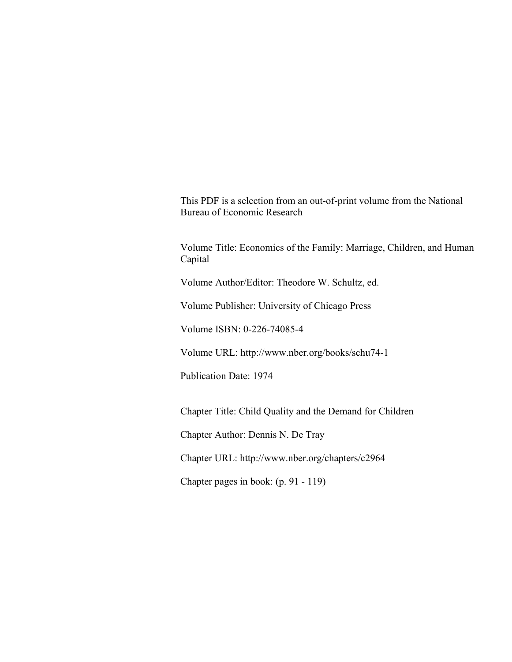This PDF is a selection from an out-of-print volume from the National Bureau of Economic Research

Volume Title: Economics of the Family: Marriage, Children, and Human Capital

Volume Author/Editor: Theodore W. Schultz, ed.

Volume Publisher: University of Chicago Press

Volume ISBN: 0-226-74085-4

Volume URL: http://www.nber.org/books/schu74-1

Publication Date: 1974

Chapter Title: Child Quality and the Demand for Children

Chapter Author: Dennis N. De Tray

Chapter URL: http://www.nber.org/chapters/c2964

Chapter pages in book: (p. 91 - 119)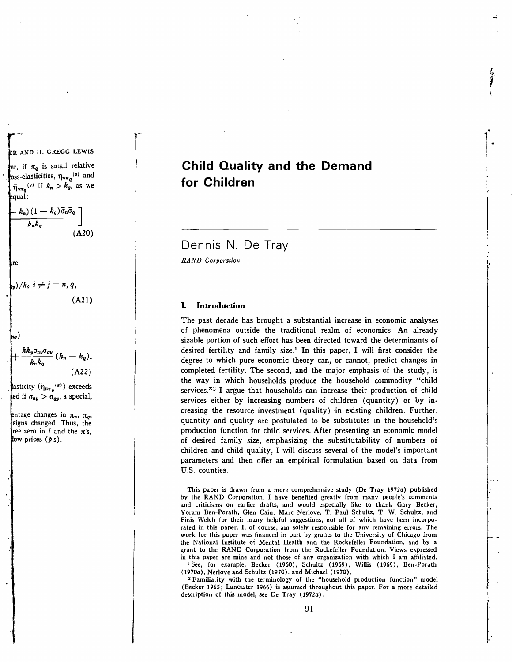# Child Quality and the Demand for Children

# RAND Corporation Dennis N. De Tray

## I. Introduction

The past decade has brought a substantial increase in economic analyses of phenomena outside the traditional realm of economics. An already sizable portion of such effort has been directed toward the determinants of desired fertility and family size.' In this paper, I will first consider the degree to which pure economic theory can, or cannot, predict changes in completed fertility. The second, and the major emphasis of the study, is the way in which households produce the household commodity "child services."<sup>2</sup> I argue that households can increase their production of child services either by increasing numbers of children (quantity) or by increasing the resource investment (quality) •in existing children. Further, quantity and quality are postulated to be substitutes in the household's production function for child services. After presenting an economic model of desired family size, emphasizing the substitutability of numbers of children and child quality, I will discuss several of the model's important parameters and then offer an empirical formulation based on data from U.S. counties.

This paper is drawn from a more comprehensive study (De Tray 1972a) published by the RAND Corporation. I have benefited greatly from many people's comments and criticisms on earlier drafts, and would especially like to thank Gary Becker, Yoram Ben-Porath, Glen Cain, Marc Nerlove, T. Paul Schultz, T. W. Schultz, and Finis Welch for their many helpful suggestions, not all of which have been incorporated in this paper. I, of course, am solely responsible for any remaining errors. The work for this paper was financed in part by grants to the University of Chicago from the National Institute of Mental Health and the Rockefeller Foundation, and by a grant to the RAND Corporation from the Rockefeller Foundation. Views expressed in this paper are mine and not those of any organization with which  $I$  am affiliated.

<sup>1</sup> See, for example, Becker (1960), Schultz (1969), Willis (1969), Ben-Porath (1970a), Nerlove and Schultz (1970), and Michael (1970).

2 Familiarity with the terminology of the "household production function" model (Becker 1965; Lancaster 1966) is assumed throughout this paper. For a more detailed description of this model, see De Tray (19720).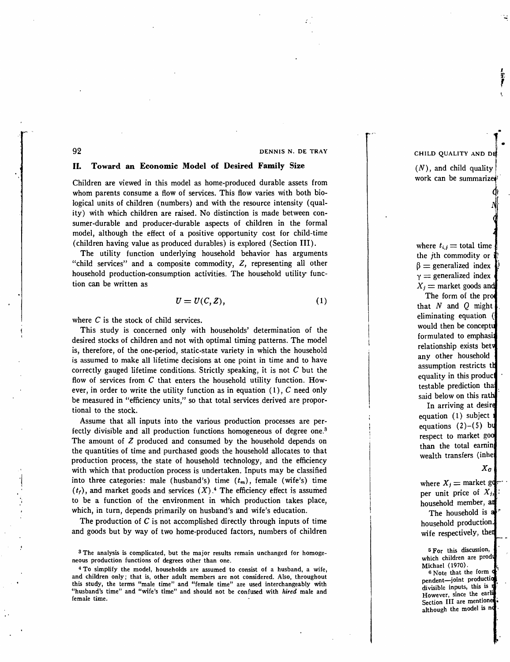#### II. Toward an Economic Model of Desired Family Size

Children are viewed in this model as home-produced durable assets from whom parents consume a flow of services. This flow varies with both biological units of children (numbers) and with the resource intensity (quality) with which children are raised. No distinction is made between consumer-durable and producer-durable aspects of children in the formal model, although the effect of a positive opportunity cost for child-time (children having value as produced durables) is explored (Section III).

The utility function underlying household behavior has arguments "child services" and a composite commodity, Z, representing all other household production-consumption activities. The household utility function can be written as

$$
U = U(C, Z), \tag{1}
$$

where  $C$  is the stock of child services.

This study is concerned only with households' determination of the desired stocks of children and not with optimal timing patterns. The model is, therefore, of the one-period, static-state variety in which the household is assumed to make all lifetime decisions at one point in time and to have correctly gauged lifetime conditions. Strictly speaking, it is not  $C$  but the flow of services from  $C$  that enters the household utility function. However, in order to write the utility function as in equation  $(1)$ , C need only be measured in "efficiency units," so that total services derived are proportional to the stock.

Assume that all inputs into the various production processes are perfectly divisible and all production functions homogeneous of degree one.3 The amount of Z produced and consumed by the household depends on the quantities of time and purchased goods the household allocates to that production process, the state of household technology, and the efficiency with which that production process is undertaken. Inputs may be classified into three categories: male (husband's) time  $(t_m)$ , female (wife's) time  $(t_f)$ , and market goods and services  $(X)$ .<sup>4</sup> The efficiency effect is assumed to be a function of the environment in which production takes place, which, in turn, depends primarily on husband's and wife's education.

The production of  $C$  is not accomplished directly through inputs of time and goods but by way of two home-produced factors, numbers of children

<sup>3</sup> The analysis is complicated, but the major results remain unchanged for homogeneous production functions of degrees other than one.

<sup>4</sup> To simplify the model, households are assumed to consist of a husband, a wife, and children only; that is, other adult members are not considered. Also, throughout this study, the terms "male time" and "female time" are used interchangeably with "husband's time" and "wife's time" and should not be confused with hired male and female time.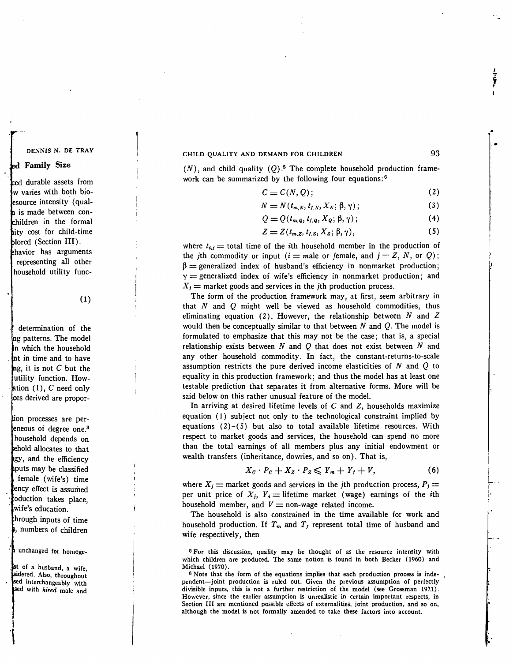$(N)$ , and child quality  $(O)$ .<sup>5</sup> The complete household production framework can be summarized by the following four equations:<sup>6</sup>

$$
C = C(N, Q); \tag{2}
$$

$$
N = N(t_{m,N}, t_{f,N}, X_N; \beta, \gamma); \qquad (3)
$$

$$
Q = Q(t_{m,\mathbf{Q}}, t_{f,\mathbf{Q}}, X_{\mathbf{Q}}; \beta, \gamma); \tag{4}
$$

$$
Z = Z(t_{m,z}, t_{f,z}, X_z; \beta, \gamma), \qquad (5)
$$

where  $t_{i,j}$  total time of the *i*th household member in the production of the jth commodity or input  $(i = male \text{ or female, and } j = Z, N, \text{ or } Q);$  $\beta$  = generalized index of husband's efficiency in nonmarket production;  $y =$  generalized index of wife's efficiency in nonmarket production; and  $X_i$  = market goods and services in the *j*th production process.

CHILD QUALITY AND DEALWAND FOR CHILDREY.<br>
(N), and child quality (Q).<sup>3</sup> The complete household production frame-<br>
work can be summarized by the following four equations:<sup>9</sup><br>  $C = C(R, Q)$ ; (2)<br>  $N = N(t_{n,n}, t_{n}, \chi, \chi; \beta, \gamma)$ ; (3 The form of the production framework may, at first, seem arbitrary in that  $N$  and  $Q$  might well be viewed as household commodities, thus eliminating equation (2). However, the relationship between  $N$  and  $Z$ would then be conceptually similar to that between  $N$  and  $Q$ . The model is formulated to emphasize that this may not be the case; that is, a special relationship exists between  $N$  and  $Q$  that does not exist between  $N$  and any other household commodity. In fact, the constant-returns-to-scale assumption restricts the pure derived income elasticities of  $N$  and  $Q$  to equality in this production framework; and thus the model has at least one testable prediction that separates it from alternative forms. More will be said below on this rather unusual feature of the model.

In arriving at desired lifetime levels of  $C$  and  $Z$ , households maximize equation (1) subject not only to the technological constraint implied by equations  $(2)$ - $(5)$  but also to total available lifetime resources. With respect to market goods and services, the household can spend no more than the total earnings of all members plus any initial endowment or wealth transfers (inheritance, dowries, and so on). That is,

$$
X_{\sigma} \cdot P_{\sigma} + X_{\mathbf{z}} \cdot P_{\mathbf{z}} \leqslant Y_{m} + Y_{f} + V, \tag{6}
$$

where  $X_j$  = market goods and services in the jth production process,  $P_j$  = per unit price of  $X_j$ ,  $Y_i =$  lifetime market (wage) earnings of the *i*th household member, and  $V =$  non-wage related income.

The household is also constrained in the time available for work and household production. If  $T_m$  and  $T_f$  represent total time of husband and wife respectively, then

 $\ddot{\phantom{0}}$ 

<sup>5</sup> For this discussion, quality may be thought of as the resource intensity with which children are produced. The same notion is found in both Becker (1960) and Michael (1970).

<sup>&</sup>lt;sup>6</sup> Note that the form of the equations implies that each production process is independent—joint production is ruled out. Given the previous assumption of perfectly divisible inputs, this is not a further restriction of the model (see Grossman 1971). However, since the earlier assumption is unrealistic in certain important respects, in Section III are mentioned possible effects of externalities, joint production, and so on, although the model is not formally amended to take these factors into account.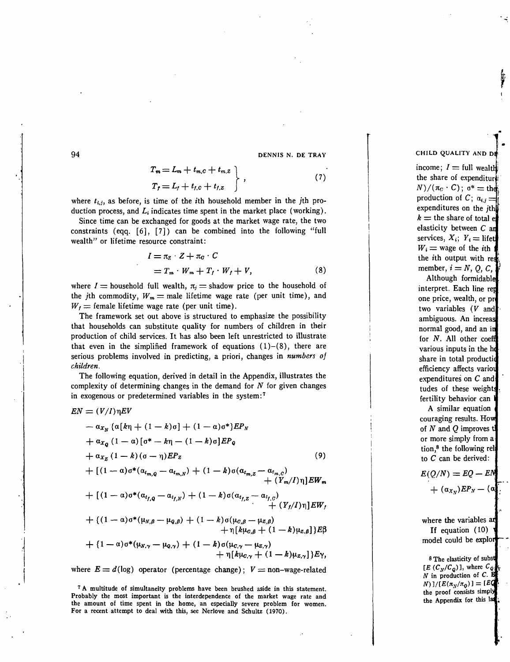$\cdot$ 

$$
T_m = L_m + t_{m,c} + t_{m,z}
$$
  
\n
$$
T_f = L_f + t_{f,c} + t_{f,z}
$$
 (7)

where  $t_{i,j}$ , as before, is time of the *i*th household member in the *j*th production process, and  $L_i$  indicates time spent in the market place (working).

Since time can be exchanged for goods at the market wage rate, the two constraints (eqq. [6], [7]) can be combined into the following "full wealth" or lifetime resource constraint:

$$
I = \pi_Z \cdot Z + \pi_G \cdot C
$$
  
=  $T_m \cdot W_m + T_f \cdot W_f + V,$  (8)

where  $I =$  household full wealth,  $\pi_i =$  shadow price to the household of the jth commodity,  $W_m$  = male lifetime wage rate (per unit time), and  $W<sub>f</sub>$  = female lifetime wage rate (per unit time).

The framework set out above is structured to emphasize the possibility that households can substitute quality for numbers of children in their production of child services. It has also been left unrestricted to illustrate that even in the simplified framework of equations  $(1)$ – $(8)$ , there are serious problems involved in predicting, a priori, changes in numbers of children.

The following equation, derived in detail in the Appendix, illustrates the complexity of determining changes in the demand for  $N$  for given changes in exogenous or predetermined variables in the system:7

$$
EN = (V/I)\eta EV
$$
  
\n
$$
- \alpha_{X_N} \{a[k\eta + (1 - k)\sigma] + (1 - \alpha)\sigma^* \}EP_N
$$
  
\n
$$
+ \alpha_{X_Q} (1 - \alpha) [\sigma^* - k\eta - (1 - k)\sigma]EP_Q
$$
  
\n
$$
+ \alpha_{X_Z} (1 - k)(\sigma - \eta)EP_Z
$$
  
\n
$$
+ [(1 - \alpha)\sigma^*(\alpha_{t_{m,Q}} - \alpha_{t_{m,N}}) + (1 - k)\sigma(\alpha_{t_{m,Z}} - \alpha_{t_{m,C}}) + (Y_m/I)\eta]EW_m
$$
  
\n
$$
+ [(1 - \alpha)\sigma^*(\alpha_{t_{f,Q}} - \alpha_{t_{f,N}}) + (1 - k)\sigma(\alpha_{t_{f,Z}} - \alpha_{t_{f,C}}) + (Y_f/I)\eta]EW_f
$$
  
\n
$$
+ \{(1 - \alpha)\sigma^*(\mu_{N,\beta} - \mu_{Q,\beta}) + (1 - k)\sigma(\mu_{C,\beta} - \mu_{Z,\beta}) + \eta[k\mu_{C,\beta} + (1 - k)\mu_{Z,\beta}]\}E\beta
$$
  
\n
$$
+ \{1 - \alpha)\sigma^*(\mu_{N,\gamma} - \mu_{Q,\gamma}) + (1 - k)\sigma(\mu_{C,\gamma} - \mu_{Z,\gamma}) + \eta[k\mu_{C,\gamma} + (1 - k)\mu_{Z,\gamma}]\}E\gamma,
$$

where  $E = d(\log)$  operator (percentage change);  $V = \text{non–wage-related}$ 

A multitude of simultaneity problems have been brushed aside in this statement. Probably the most important is the interdependence of the market wage rate and the amount of time spent in the home, an especially severe problem for women. For a recent attempt to deal with this, see Nerlove and Schultz (1970).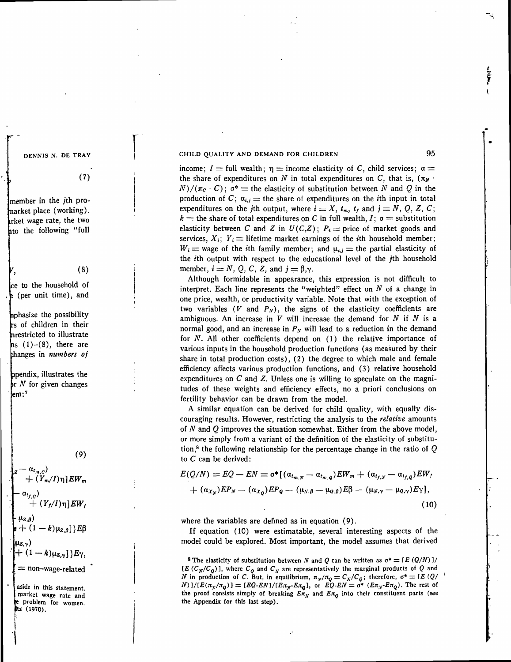income;  $I = \text{full wealth}$ ;  $\eta = \text{income elasticity of } C$ , child services;  $\alpha =$ the share of expenditures on N in total expenditures on C, that is,  $(\pi_N \cdot$  $N/(\pi_c \cdot C)$ ;  $\sigma^*$  = the elasticity of substitution between N and Q in the production of C;  $a_{i,j}$  = the share of expenditures on the *i*th input in total expenditures on the jth output, where  $i = X$ ,  $t_m$ ,  $t_f$  and  $j = N$ , Q, Z, C;  $k =$  the share of total expenditures on C in full wealth, I;  $\sigma =$  substitution elasticity between C and Z in  $U(C,Z)$ ;  $P_4$  = price of market goods and services,  $X_i$ ;  $Y_i$  = lifetime market earnings of the *i*th household member;  $W_i$  = wage of the *i*th family member; and  $\mu_{i,j}$  = the partial elasticity of the ith output with respect to the educational level of the jth household member,  $i = N$ , Q, C, Z, and  $j = \beta, \gamma$ .

Although formidable in appearance, this expression is not difficult to interpret. Each line represents the "weighted" effect on  $N$  of a change in one price, wealth, or productivity variable. Note that with the exception of two variables (V and  $P_N$ ), the signs of the elasticity coefficients are ambiguous. An increase in  $V$  will increase the demand for  $N$  if  $N$  is a normal good, and an increase in  $P_N$  will lead to a reduction in the demand for  $N$ . All other coefficients depend on  $(1)$  the relative importance of various inputs in the household production functions (as measured by their share in total production costs), (2) the degree to which male and female efficiency affects various production functions, and (3) relative household expenditures on  $C$  and  $Z$ . Unless one is willing to speculate on the magnitudes of these weights and efficiency effects, no a priori conclusions on fertility behavior can be drawn from the model.

A similar equation can be derived for child quality, with equally discouraging results. However, restricting the analysis to the *relative* amounts of  $N$  and  $Q$  improves the situation somewhat. Either from the above model, or more simply from a variant of the definition of the elasticity of substitution,<sup>8</sup> the following relationship for the percentage change in the ratio of  $Q$ to C can be derived:

$$
E(Q/N) = EQ - EN = \sigma^*[(\alpha_{t_{m,N}} - \alpha_{t_{m,Q}})EW_m + (\alpha_{t_{f,N}} - \alpha_{t_{f,Q}})EW_f
$$
  
+  $(\alpha_{X_N})EP_N - (\alpha_{X_Q})EP_Q - (\mu_{N,\beta} - \mu_{Q,\beta})E\beta - (\mu_{N,\gamma} - \mu_{Q,\gamma})E\gamma],$  (10)

where the variables are defined as in equation (9).

If equation (10) were estimatable, several interesting aspects of the model could be explored. Most important, the model assumes that derived

 $\cdot$ 

<sup>&</sup>lt;sup>8</sup> The elasticity of substitution between N and Q can be written as  $\sigma^* = [E (Q/N)]/$  $[E(C_N/C_Q)]$ , where  $C_Q$  and  $C_N$  are representatively the marginal products of Q and N in production of C. But, in equilibrium,  $\pi_N/\pi_Q = C_N/C_Q$ ; therefore,  $\sigma^* = \frac{FE}{Q}$  $N$ )  $/(E(\pi_y/\pi_o)) = (EQ-EN)/(E\pi_y-E\pi_o)$ , or  $EQ-EN = \sigma^* (E\pi_y-E\pi_o)$ . The rest of the proof consists simply of breaking  $E\pi_N$  and  $E\pi_0$  into their constituent parts (see the Appendix for this last step).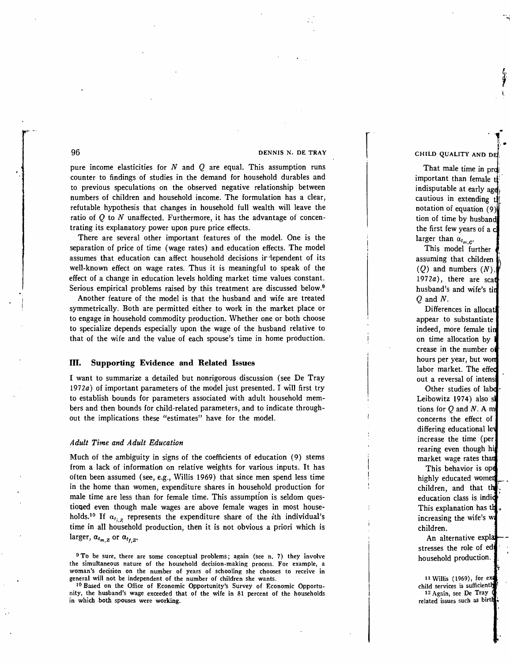pure income elasticities for  $N$  and  $Q$  are equal. This assumption runs counter to findings of studies in the demand for household durables and to previous speculations on the observed negative relationship between numbers of children and household income. The formulation has a clear, refutable hypothesis that changes in household full wealth will leave the ratio of  $O$  to  $N$  unaffected. Furthermore, it has the advantage of concentrating its explanatory power upon pure price effects.

There are several other important features of the model. One is the separation of price of time (wage rates) and education effects. The model assumes that education can affect household decisions ir lependent of its well-known effect on wage rates. Thus it is meaningful to speak of the effect of a change in education levels holding market time values constant. Serious empirical problems raised by this treatment are discussed below.9

Another feature of the model is that the husband and wife are treated symmetrically. Both are permitted either to work in the market place or to engage in household commodity production. Whether one or both choose to specialize depends especially upon the wage of the husband relative to that of the wife and the value of each spouse's time in home production.

## 1ff. Supporting Evidence and Related Issues

I want to summarize a detailed but nonrigorous discussion (see De Tray 1972a) of important parameters of the model just presented. I will first try to establish bounds for parameters associated with adult household members and then bounds for child-related parameters, and to indicate throughout the implications these "estimates" have for the model.

## Adult Time and Adult Education

Much of the ambiguity in signs of the coefficients of education (9) stems from a lack of information on relative weights for various inputs. It has often been assumed (see, e.g., Willis 1969) that since men spend less time in the home than women, expenditure shares in household production for male time are less than for female time. This assumption is seldom questioned even though male wages are above female wages in most households.<sup>10</sup> If  $\alpha_{t_{i}}$  represents the expenditure share of the *i*th individual's time in all household production, then it is not obvious a priori which is larger,  $\alpha_{t_{m,Z}}$  or  $\alpha_{t_{f,Z}}$ .

9 To be sure, there are some conceptual problems; again (see n. 7) they involve the simultaneous nature of the household decision-making process. For example, a woman's decision on the number of years of schooling she chooses to receive in general will not be independent of the number of children she wants.

10 Based on the Office of Economic Opportunity's Survey of Economic Opportunity, the husband's wage exceeded that of the wife in 81 percent of the households in which both spouses were working.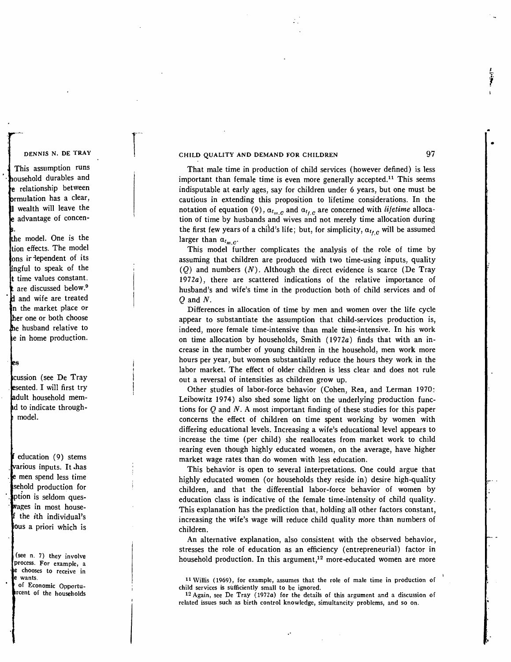That male time in production of child services (however defined) is less important than female time is even more generally accepted.<sup>11</sup> This seems indisputable at early ages, say for children under 6 years, but one must be cautious in extending this proposition to lifetime considerations. In the notation of equation (9),  $\alpha_{t_m,c}$  and  $\alpha_{t,c}$  are concerned with *lifetime* allocation of time by husbands and wives and not merely time allocation during the first few years of a child's life; but, for simplicity,  $\alpha_{t,c}$  will be assumed larger than  $\alpha_{t_{m},0}$ .

This model further complicates the analysis of the role of time by assuming that children are produced with two time-using inputs, quality  $(Q)$  and numbers  $(N)$ . Although the direct evidence is scarce (De Tray 1972a), there are scattered indications of the relative importance of husband's and wife's time in the production both of child services and of  $O$  and  $N$ .

Differences in allocation of time by men and women over the life cycle appear to substantiate the assumption that child-services production is, indeed, more female time-intensive than male time-intensive. In his work on time allocation by households, Smith  $(1972a)$  finds that with an increase in the number of young children in the household, men work more hours per year, but women substantially reduce the hours they work in the labor market. The effect of older children is less clear and does not rule out a reversal of intensities as children grow up.

Other studies of labor-force behavior (Cohen, Rea, and Lerman 1970: Leibowitz 1974) also shed some light on the underlying production functions for  $Q$  and  $N$ . A most important finding of these studies for this paper concerns the effect of children on time spent working by women with differing educational levels. Increasing a wife's educational level appears to increase the time (per child) she reallocates from market work to child rearing even though highly educated women, on the average, have higher market wage rates than do women with less education.

This behavior is open to several interpretations. One could argue that highly educated women (or households they reside in) desire high-quality children, and that the differential labor-force behavior of women by education class is indicative of the female time-intensity of child quality. This explanation has the prediction that, holding all other factors constant, increasing the wife's wage will reduce child quality more than numbers of children.

An alternative explanation, also consistent with the observed behavior, stresses the role of education as an efficiency (entrepreneurial) factor in household production. In this argument,<sup>12</sup> more-educated women are more

 $\ddot{\phantom{a}}$ 

<sup>11</sup> Willis (1969), for example, assumes that the role of male time in production of child services is sUfficiently small to be ignored.

<sup>12</sup> Again, see De Tray (1972a) for the details of this argument and a discussion of related issues such as birth control knowledge, simultaneity problems, and so on.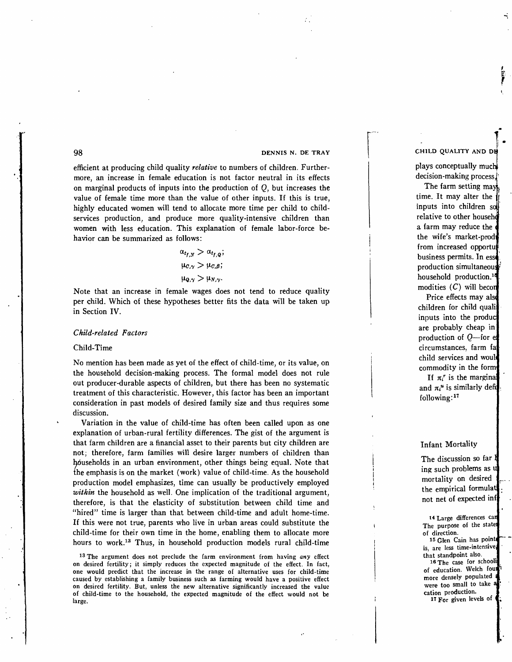,.

efficient at producing child quality relative to numbers of children. Furthermore, an increase in female education is not factor neutral in its effects on marginal products of inputs into the production of  $Q$ , but increases the value of female time more than the value of other inputs. If this is true, highly educated women will tend to allocate more time per child to childservices production, and produce more quality-intensive children than women with less education. This explanation of female labor-force behavior can be summarized as follows:

$$
\alpha_{t_{f,N}} > \alpha_{t_{f,Q}};
$$
  

$$
\mu_{Q,\gamma} > \mu_{C,\beta};
$$
  

$$
\mu_{Q,\gamma} > \mu_{N,\gamma}.
$$

Note that an increase in female wages does not tend to reduce quality per child. Which of these hypotheses better fits the data will be taken up in Section IV.

## Child-related Factors

#### Child-Time

No mention has been made as yet of the effect of child-time, or its value, on the household decision-making process. The formal model does not rule out producer-durable aspects of children, but there has been no systematic treatment of this characteristic. However, this factor has been an important consideration in past models of desired family size and thus requires some discussion.

Variation in the value of child-time has often been called upon as one explanation of urban-rural fertility differences. The gist of the argument is that farm children are a financial asset to their parents but city children are not; therefore, farm families will desire larger numbers of children than households in an urban environment, other things being equal. Note that the emphasis is on the market (work) value of child-time. As the household production model emphasizes, time can usually be productively employed within the household as well. One implication of the traditional argument, therefore, is that the elasticity of substitution between child time and "hired" time is larger than that between child-time and adult home-time. If this were not true, parents who live in urban areas could substitute the child-time for their own time in the home, enabling them to allocate more hours to work.13 Thus, in household production models rural child-time

<sup>13</sup> The argument does not preclude the farm environment from having any effect on desired fertility; it simply reduces the expected magnitude of the effect. In fact, one would predict that the increase in the range of alternative uses for child-time caused by establishing a family business such as farming would have a positive effect on desired fertility. But, unless the new alternative significantly increased the value of child-time to the household, the expected magnitude of the effect would not be large.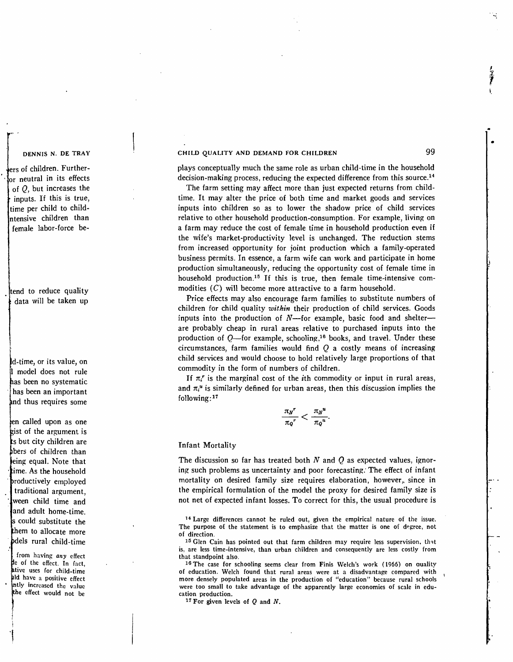## CHILD QUALITY AND DEMAND FOR CHILDREN 99

plays conceptually much the same role as urban child-time in the household decision-making process, reducing the expected difference from this source.<sup>14</sup>

The farm setting may affect more than just expected returns from childtime. It may alter the price of both time and market goods and services inputs into children so as to lower the shadow price of child services relative to other household production-consumption. For example, living on a farm may reduce the cost of female time in household production even if the wife's market-productivity level is unchanged. The reduction stems from increased opportunity for joint production which a family-operated business permits. In essence, a farm wife can work and participate in home production simultaneously, reducing the opportunity cost of female time in household production.15 If this is true, then female time-intensive commodities (C) will become more attractive to a farm household.

Price effects may also encourage farm families to substitute numbers of children for child quality within their production of child services. Goods inputs into the production of  $N$ —for example, basic food and shelter are probably cheap in rural areas relative to purchased inputs into the production of  $Q$ —for example, schooling,<sup>16</sup> books, and travel. Under these circumstances, farm families would find  $Q$  a costly means of increasing child services and would choose to hold relatively large proportions of that commodity in the form of numbers of children.

If  $\pi_i^r$  is the marginal cost of the *i*th commodity or input in rural areas, and  $\pi_i^u$  is similarly defined for urban areas, then this discussion implies the following:17

$$
\frac{\pi_{\textit{N}}^{\textit{r}}}{\pi_{\textit{Q}}^{\textit{r}}}<\frac{\pi_{\textit{N}}^{\textit{u}}}{\pi_{\textit{Q}}^{\textit{u}}}.
$$
 In  
fant Mortality

The discussion so far has treated both  $N$  and  $Q$  as expected values, ignoring such problems as uncertainty and poor forecasting: The effect of infant mortality on desired family size requires elaboration, however, since in the empirical formulation of the model the proxy for desired family size is not net of expected infant losses. To correct for this, the usual procedure is

<sup>14</sup> Large differences cannot be ruled out, given the empirical nature of the issue. The purpose of the statement is to emphasize that the matter is one of degree, not of direction.

 $15$  Glen Cain has pointed out that farm children may require less supervision, that is, are less time-intensive, than urban children and consequently are less costly from that standpoint also.

16 The case for schooling seems clear from Finis Welch's work (1966) on auality of education. Welch found that rural areas were at a disadvantage compared with more densely populated areas in the production of "education" because rural schools were too small to take advantage of the apparently large economies of scale in education production.

<sup>17</sup> For given levels of Q and N.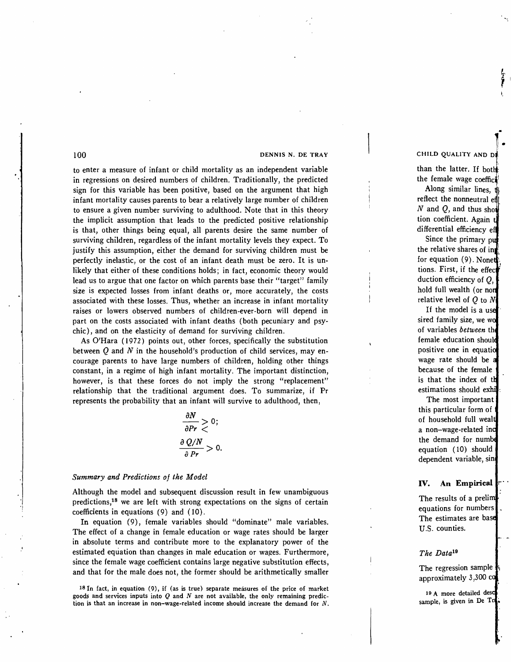to enter a measure of infant or child mortality as an independent variable in regressions on desired numbers of children. Traditionally, the predicted sign for this variable has been positive, based on the argument that high infant mortality causes parents to hear a relatively large number of children to ensure a given number surviving to adulthood. Note that in this theory the implicit assumption that leads to the predicted positive relationship is that, other things being equal, all parents desire the same number of surviving children, regardless of the infant mortality levels they expect. To justify this assumption, either the demand for surviving children must be perfectly inelastic, or the cost of an infant death must be zero. It is unlikely that either of these conditions holds; in fact, economic theory would lead us to argue that one factor on which parents base their "target" family size is expected losses from infant deaths or, more accurately, the costs associated with these losses. Thus, whether an increase in infant mortality raises or lowers observed numbers of children-ever-born will depend in part on the costs associated with infant deaths (both pecuniary and psychic), and on the elasticity of demand for surviving children.

As O'Hara (1972) points out, other forces, specifically the substitution between  $Q$  and  $N$  in the household's production of child services, may encourage parents to have large numbers of children, holding other things constant, in a regime of high infant mortality. The important distinction, however, is that these forces do not imply the strong "replacement" relationship that the traditional argument does. To summarize, if Pr represents the probability that an infant will survive to adulthood, then,

$$
\frac{\partial N}{\partial Pr} \geq 0;
$$
  

$$
\frac{\partial Q/N}{\partial Pr} > 0.
$$

#### Summary and Predictions of the Model

Although the model and subsequent discussion result in few unambiguous predictions,18 we are left with strong expectations on the signs of certain coefficients in equations (9) and (10).

In equation (9), female variables should "dominate" male variables. The effect of a change in female education or wage rates should be larger in absolute terms and contribute more to the explanatory power of the estimated equation than changes in male education or wages. Furthermore, since the female wage coefficient contains large negative substitution effects, and that for the male does not, the former should be arithmetically smaller

<sup>18</sup> In fact, in equation (9), if (as is true) separate measures of the price of market goods and services inputs into  $Q$  and  $N$  are not available, the only remaining prediction is that an increase in non-wage-related income should increase the demand for  $N$ .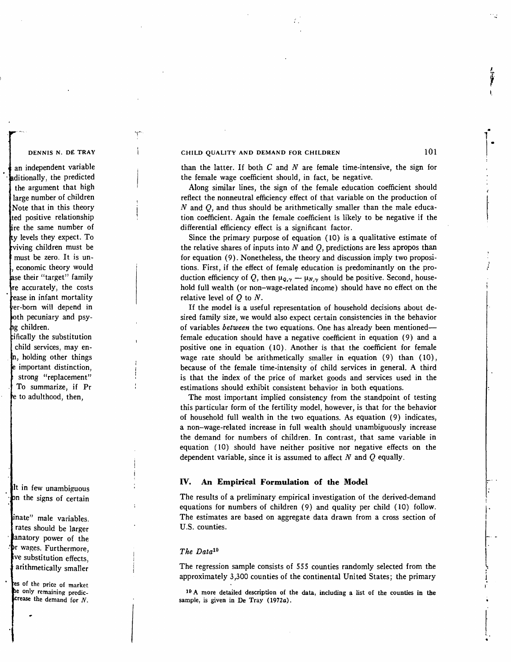## CHILD QUALITY AND DEMAND FOR CHILDREN 101

than the latter. If both C and N are female time-intensive, the sign for the female wage coefficient should, in fact, be negative.

Along similar lines, the sign of the female education coefficient should reflect the nonneutral efficiency effect of that variable on the production of  $N$  and  $Q$ , and thus should be arithmetically smaller than the male education coefficient. Again the female coefficient is likely to be negative if the differential efficiency effect is a significant factor.

Since the primary purpose of equation (10) is a qualitative estimate of the relative shares of inputs into  $N$  and  $Q$ , predictions are less apropos than for equation (9). Nonetheless, the theory and discussion imply two propositions. First, if the effect of female education is predominantly on the production efficiency of Q, then  $\mu_{0,\gamma} = \mu_{N,\gamma}$  should be positive. Second, household full wealth (or non—wage-related income) should have no effect on the relative level of  $O$  to  $N$ .

If the model is a useful representation of household decisions about desired family size, we would also expect certain consistencies in the behavior of variables between the two equations. One has already been mentioned female education should have a negative coefficient in equation (9) and a positive one in equation (10). Another is that the coefficient for female wage rate should be arithmetically smaller in equation (9) than (10), because of the female time-intensity of child services in general. A third is that the index of the price of market goods and services used in the estimations should exhibit consistent behavior in both equations.

The most important implied consistency from the standpoint of testing this particular form of the fertility model, however, is that for the behavior of household full wealth in the two equations. As equation (9) indicates, a non—wage-related increase in full wealth should unambiguously increase the demand for numbers of children. In contrast, that same variable in equation (10) should have neither positive nor negative effects on the dependent variable, since it is assumed to affect  $N$  and  $Q$  equally.

#### 1V. An Empirical Formulation of the Model

The results of a preliminary empirical investigation of the derived-demand equations for numbers of children (9) and quality per child (10) follow. The estimates are based on aggregate data drawn from a cross section of U.S. counties.

#### The Data'°

The regression sample consists of 555 counties randomly selected from the approximately 3,300 counties of the continental United States; the primary

<sup>19</sup> A more detailed description of the data, including a list of the counties in the sample, is given in De Tray (1972a).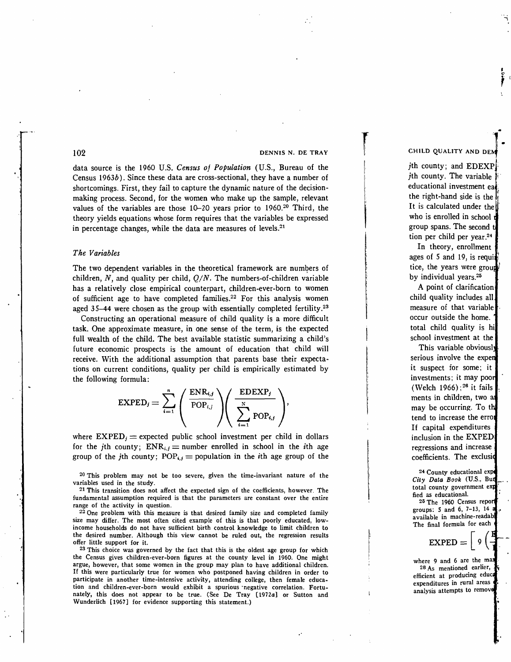## $102$  DENNIS N. DE TRAY

 $\cdot$ 

data source is the 1960 U.S. Census of Population (U.S., Bureau of the Census 1963b). Since these data are cross-sectional, they have a number of shortcomings. First, they fail to capture the dynamic nature of the decisionmaking process. Second, for the women who make up the sample, relevant values of the variables are those 10-20 years prior to 1960.<sup>20</sup> Third, the theory yields equations whose form requires that the variables be expressed in percentage changes, while the data are measures of levels.<sup>21</sup>

## The Variables

The two dependent variables in the theoretical framework are numbers of children, N, and quality per child,  $Q/N$ . The numbers-of-children variable has a relatively close empirical counterpart, children-ever-born to women of sufficient age to have completed families.<sup>22</sup> For this analysis women aged 35–44 were chosen as the group with essentially completed fertility.<sup>23</sup>

Constructing an operational measure of child quality is a more difficult task. One approximate measure, in one sense of the term, is the expected full wealth of the child. The best available statistic summarizing a child's future economic prospects is the amount of education that child will receive. With the additional assumption that parents base their expectations on current conditions, quality per child is empirically estimated by the following formula:

$$
\text{EXPED}_{j} = \sum_{i=1}^{n} \left( \frac{\text{ENR}_{i,j}}{\text{POP}_{i,j}} \right) \left( \frac{\text{EDEXP}_{j}}{\sum_{i=1}^{N} \text{POP}_{i,j}} \right),
$$

where  $EXPED_i =$  expected public school investment per child in dollars the following formula:<br>  $\text{EXPED}_j = \sum_{i=1}^n \left( \frac{\text{ENR}_{i,j}}{\text{POP}_{i,j}} \right) \left( \frac{\text{EDEXP}_j}{\sum_{i=1}^N \text{POP}_{i,j}} \right),$ <br>
where  $\text{EXPED}_j = \text{expected public school investment per child in dollars}$ <br>
for the *j*th county;  $\text{ENR}_{i,j} = \text{number enrolled in school in the } i\text{th age}$ <br>
group of the *j*th county;  $\text{POP$ group of the jth county;  $POP_{i,j} =$  population in the *i*th age group of the

20 This problem may not be too severe, given the time-invariant nature of the variables used in the study.

21 This transition does not affect the expected sign of the coefficients, however. The fundamental assumption required is that the parameters are constant over the entire range of the activity in question.

22 One problem with this measure is that desired family size and completed family size may differ. The most often cited example of this is that poorly educated, lowincome households do not have sufficient birth control knowledge to limit children to the desired number. Although this view cannot be ruled out, the regression results offer little support for it.

<sup>23</sup> This choice was governed by the fact that this is the oldest age group for which the Census gives children-ever-born figures at the county level in 1960. One might argue, however, that some women in the group may plan to have additional children. If this were particularly true for women who postponed having children in order to participate in another time-intensive activity, attending college, then female education and children-ever-born would exhibit a spurious negative correlation. Fortunately, this does not appear to be true. (See De Tray [1972a] or Sutton and Wunderlich [1967] for evidence supporting this statement.)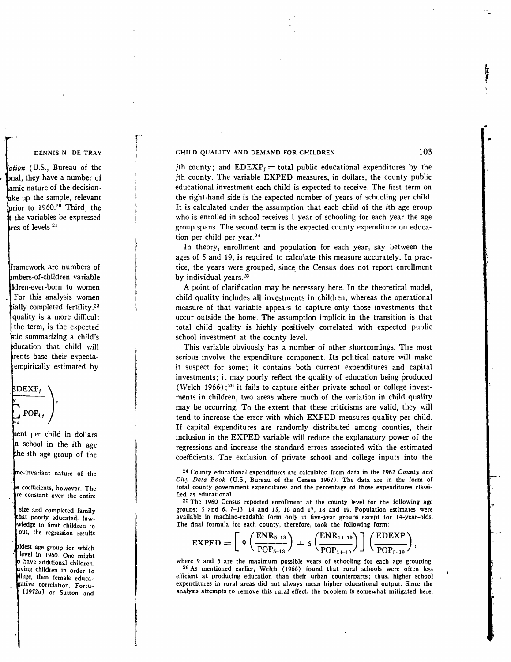*j*th county; and  $EDEXP_i =$  total public educational expenditures by the jth county. The variable EXPED measures, in dollars, the county public educational investment each child is expected to receive. The first term on the right-hand side is the expected number of years of schooling per child. It is calculated under the assumption that each child of the *i*th age group who is enrolled in school receives 1 year of schooling for each year the age group spans. The second term is the expected county expenditure on education per child per year.24

In theory, enrollment and population for each year, say between the ages of 5 and 19, is required to calculate this measure accurately. In practice, the years were grouped, since the Census does not report enrollment by individual years.25

A point of clarification may be necessary here. In the theoretical model, child quality includes all investments in children, whereas the operational measure of that variable appears to capture only those investments that occur outside the home. The assumption implicit in the transition is that total child quality is highly positively correlated with expected public school investment at the county level.

This variable obviously has a number of other shortcomings. The most serious involve the expenditure component. Its political nature will make it suspect for some; it contains both current expenditures and capital investments; it may poorly reflect the quality of education being produced (Welch 1966);<sup>26</sup> it fails to capture either private school or college investments in children, two areas where much of the variation in child quality may be occurring. To the extent that these criticisms are valid, they will tend to increase the error with which EXPED measures quality per child. If capital expenditures are randomly distributed among counties, their inclusion in the EXPED variable will reduce the explanatory power of the regressions and increase the standard errors associated with the estimated CHILD QUALITY AND DEMAND FOR CHILDREN 103<br>
ith county; and EDEXP<sub>F</sub> = total public educational expenditures by the<br>
the county The variable EXPED measures, in dollars, the county public<br>
educational investment each child

> $24$  County educational expenditures are calculated from data in the 1962 County and City Data Book (U.S., Bureau of the Census 1962). The data are in the form of total county government expenditures and the percentage of those expenditures classified as educational.

> <sup>25</sup> The 1960 Census reported enrollment at the county level for the following age groups: 5 and 6, 7—13, 14 and 15, 16 and 17, 18 and 19. Population estimates were available in machine-readable form only in five-year groups except for 14-year-olds. The final formula for each county, therefore, took the following form:

$$
\text{EXPED} = \left[ \; 9 \left( \frac{\text{ENR}_{5-13}}{\text{POP}_{5-13}} \right) + 6 \left( \frac{\text{ENR}_{14-19}}{\text{POP}_{14-19}} \right) \right] \left( \frac{\text{EDEXP}}{\text{POP}_{5-19}} \right),
$$

where 9 and 6 are the maximum possible years of schooling for each age grouping. <sup>26</sup> As mentioned earlier, Welch (1966) found that rural schools were often less efficient at producing education than their urban counterparts; thus, higher school expenditures in rural areas did not always mean higher educational output. Since the analysis attempts to remove this rural effect, the problem is somewhat mitigated here.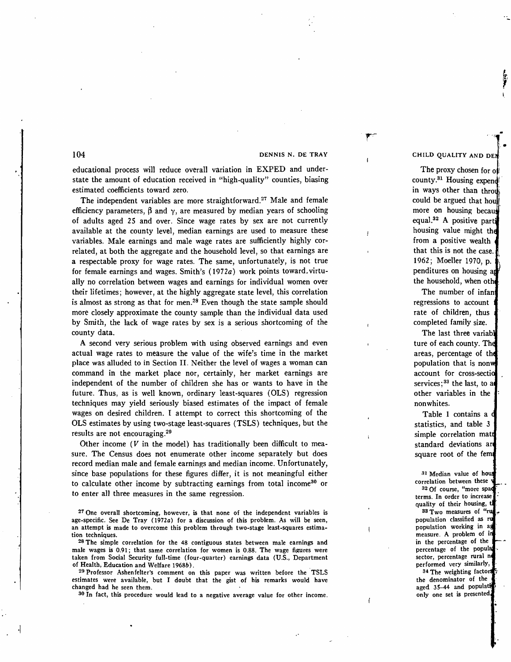$\cdot$ 

educational process will reduce overall variation in EXPED and understate the amount of education received in "high-quality" counties, biasing estimated coefficients toward zero.

The independent variables are more straightforward.<sup>27</sup> Male and female efficiency parameters,  $\beta$  and  $\gamma$ , are measured by median years of schooling of adults aged 25 and over. Since wage rates by sex are not currently available at the county level, median earnings are used to measure these variables. Male earnings and male wage rates are sufficiently highly correlated, at both the aggregate and the household level, so that earnings are a respectable proxy for wage rates. The same, unfortunately, is not true for female earnings and wages. Smith's  $(1972a)$  work points toward.virtually no correlation between wages and earnings for individual women over their lifetimes; however, at the highly aggregate state level, this correlation is almost as strong as that for men.<sup>28</sup> Even though the state sample should more closely approximate the county sample than the individual data used by Smith, the lack of wage rates by sex is a serious shortcoming of the county data.

A second very serious problem with using observed earnings and even actual wage rates to measure the value of the wife's time in the market place was alluded to in Section II. Neither the level of wages a woman can command in the market place nor, certainly, her market earnings are independent of the number of children she has or wants to have in the future. Thus, as is well known, ordinary least-squares (OLS) regression techniques may yield seriously biased estimates of the impact of female wages on desired children. I attempt to correct this shortcoming of the OLS estimates by using two-stage least-squares (TSLS) techniques, but the results are not encouraging.29

Other income  $(V$  in the model) has traditionally been difficult to measure. The Census does not enumerate other income separately but does record median male and female earnings and median income. Unfortunately, since base populations for these figures differ, it is not meaningful either to calculate other income by subtracting earnings from total income30 or to enter all three measures in the same regression.

27 One overall shortcoming, however, is that none of the independent variables is age-specific. See De Tray (1972a) for a discussion of this problem. As will be seen, an attempt is made to overcome this problem through two-stage least-squares estimation techniques.

28 The simple correlation for the 48 contiguous states between male earnings and male wages is 0.91; that same correlation for women is 0.88. The wage figures were taken from Social Security full-time (four-quarter) earnings data (U.S., Department of Health, Education and Welfare 1968b).

29 Professor Ashenfelter's comment on this paper was written before the TSLS estimates were available, but I doubt that the gist of his remarks would have changed had he seen them.

30 In fact, this procedure would lead to a negative average value for other income.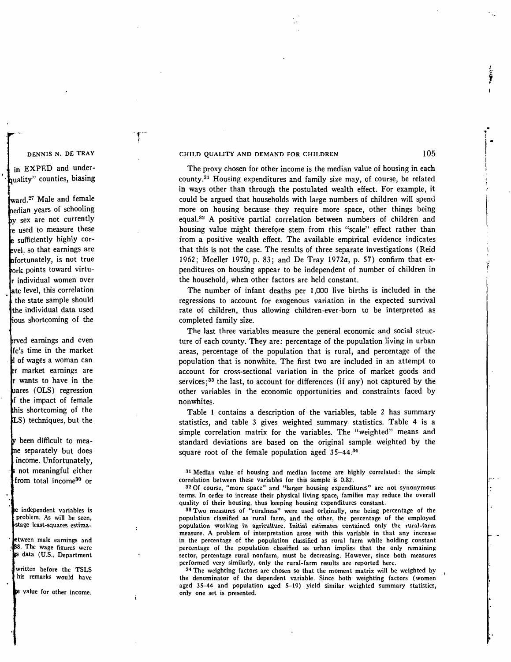#### CHILD QUALITY AND DEMAND FOR CHILDREN 105

The proxy chosen for other income is the median value of housing in each county.31 Housing expenditures and family size may, of course, be related in ways other than through the postulated wealth effect. For example, it could be argued that households with large numbers of children will spend more on housing because they require more space, other things being equal.32 A positive partial correlation between numbers of children and housing value might therefore stem from this "scale" effect rather than from a positive wealth effect. The available empirical evidence indicates that this is not the case. The results of three separate investigations (Reid 1962; Moeller 1970, p. 83; and De Tray 1972a, p. 57) confirm that expenditures on housing appear to be independent of number of children in the household, when other factors are held constant.

The number of infant deaths per 1,000 live births is included in the regressions to account for exogenous variation in the expected survival rate of children, thus allowing children-ever-born to be interpreted as completed family size.

The last three variables measure the general economic and social structure of each county. They are: percentage of the population living in urban areas, percentage of the population that is rural, and percentage of the population that is nonwhite. The first two are included in an attempt to account for cross-sectional variation in the price of market goods and services;<sup>33</sup> the last, to account for differences (if any) not captured by the other variables in the economic opportunities and constraints faced by nonwhites.

Table 1 contains a description of the variables, table 2 has summary statistics, and table 3 gives weighted summary statistics. Table 4 is a simple correlation matrix for the variables. The "weighted" means and standard deviations are based on the original sample weighted by the square root of the female population aged  $35-44$ .<sup>34</sup>

31 Median value of housing and median income are highly correlated: the simple correlation between these variables for this sample is 0.82.

32 Of course, "more space" and "larger housing expenditures" are not synonymous term3. In order to increase their physical living space, families may reduce the overall quality of their housing, thus keeping housing expenditures constant.

38 Two measures of "ruralness" were used originally, one being percentage of the population classified as rural farm, and the other, the percentage of the employed population working in agriculture. Initial estimates contained only the rural-farm measure. A problem of interpretation arose with this variable in that any increase in the percentage of the population classified as rural farm while holding constant percentage of the population classified as urban implies that the only remaining sector, percentage rural nonfarm, must be decreasing. However, since both measures performed very similarly, only the rural-farm results are reported here.

34 The weighting factors are chosen so that the moment matrix will be weighted by the denominator of the dependent variable. Since both weighting factors (women aged 35—44 and population aged 5—19) yield similar weighted summary statistics, only one set is presented.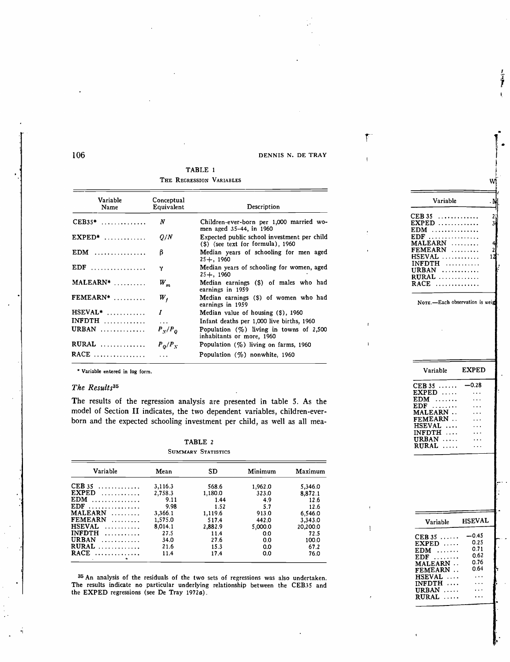| Variable<br>Name  | Conceptual<br>Equivalent | Description                                                                        |
|-------------------|--------------------------|------------------------------------------------------------------------------------|
| $CEB35*$          | N                        | Children-ever-born per 1,000 married wo-<br>men aged 35–44, in 1960                |
| $EXPED*$          | Q/N                      | Expected public school investment per child<br>$(\$)$ (see text for formula), 1960 |
| $EDM$             | ß                        | Median years of schooling for men aged<br>$25 + 1960$                              |
| $EDF$             | γ                        | Median years of schooling for women, aged<br>$25 + 1960$                           |
| $\text{MALEARN*}$ | $W_{m}$                  | Median earnings (\$) of males who had<br>earnings in 1959                          |
| $FEMEARN*$        | w,                       | Median earnings (\$) of women who had<br>earnings in 1959                          |
| $HSEVAL^{*}$      | I                        | Median value of housing $(\$)$ , 1960                                              |
| $INFDTH$          | $\cdots$                 | Infant deaths per 1,000 live births, 1960                                          |
| <b>URBAN</b>      | $P_N/P_Q$                | Population $(\% )$ living in towns of 2,500<br>inhabitants or more, 1960           |
| <b>RURAL</b>      | $P_0/P_N$                | Population $(\%)$ living on farms, 1960                                            |
| <b>RACE</b>       | $\ddotsc$                | Population $(\%)$ nonwhite, 1960                                                   |
|                   |                          |                                                                                    |

TABLE 1 THE REGRESSION VARIABLES

\* Variable entered in log form.

## The Results<sup>35</sup>

The results of the regression analysis are presented in table 5. As the model of Section II indicates, the two dependent variables, children-everborn and the expected schooling investment per child, as well as all mea-

| Variable                      | Mean    | <b>SD</b> | Minimum | Maximum  |
|-------------------------------|---------|-----------|---------|----------|
| <b>CEB 35</b><br>. <b>.</b> . | 3,116.3 | 568.6     | 1,962.0 | 5,346.0  |
| <b>EXPED</b><br>.             | 2,758.3 | 1,180.0   | 323.0   | 8,872.1  |
| <b>EDM</b><br>.               | 9.11    | 1.44      | 4.9     | 12.6     |
| $EDF$                         | 9.98    | 1.52      | 5.7     | 12.6     |
| MALEARN                       | 3,366.1 | 1.119.6   | 913.0   | 6,546.0  |
| <b>FEMEARN</b><br>.           | 1.575.0 | 517.4     | 442.0   | 3.343.0  |
| <b>HSEVAL</b><br>.            | 8,014.1 | 2,882.9   | 5,000.0 | 20,200.0 |
| <b>INFDTH</b>                 | 27.5    | 11.4      | 0.0     | 72.5     |
| <b>URBAN</b><br>.             | 34.0    | 27.6      | 0.0     | 100.0    |
| <b>RURAL</b>                  | 21.6    | 15.3      | 0.0     | 67.2     |
| RACE $\ldots$                 | 11.4    | 17.4      | 0.0     | 76.0     |

TABLE 2 SUMMARY STATISTICS

35 An analysis of the residuals of the two sets of regressions was also undertaken. The results indicate no particular underlying relationship between the CEB3S and the EXPED regressions (see De Tray 1972a).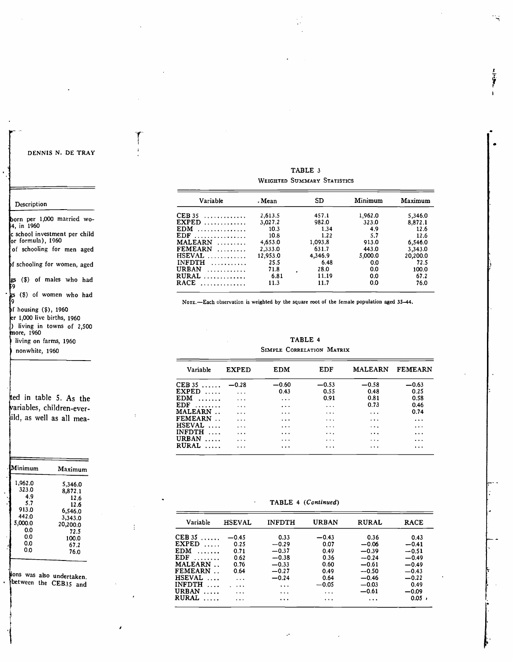| IABLE J<br>WEIGHTED SUMMARY STATISTICS |          |         |         |          |  |
|----------------------------------------|----------|---------|---------|----------|--|
| Variable                               | . Mean   | SD      | Minimum | Maximum  |  |
| <b>CEB 35</b><br>. <i>.</i> .          | 2,613.5  | 457.1   | 1,962.0 | 5,346.0  |  |
| $EXPED$                                | 3,027.2  | 982.0   | 323.0   | 8,872.1  |  |
| $EDM$                                  | 10.3     | 1.34    | 4.9     | 12.6     |  |
| $EDF$                                  | 10.8     | 1.22    | 5.7     | 12.6     |  |
| <b>MALEARN</b><br>.                    | 4,653.0  | 1.093.8 | 913.0   | 6,546.0  |  |
| $FEMEARN$                              | 2,333.0  | 631.7   | 443.0   | 3,343.0  |  |
| <b>HSEVAL</b><br>. <b>.</b>            | 12,953.0 | 4,346.9 | 5,000.0 | 20,200.0 |  |
| <b>INFDTH</b><br>.                     | 25.5     | 6.48    | 0.0     | 72.5     |  |
| <b>URBAN</b><br>. <i>.</i> .           | 71.8     | 28.0    | 0.0     | 100.0    |  |
| $RURAL$                                | 6.81     | 11.19   | 0.0     | 67.2     |  |
| <b>RACE</b><br>. <b>.</b> .            | 11.3     | 11.7    | 0.0     | 76.0     |  |

| TABLE 3                     |  |
|-----------------------------|--|
| Weighted Summary Statistics |  |

NOTE.--Each observation is weighted by the square root of the female population aged 35-44.

 $\bar{z}$ 

TABLE 4 SIMPLE CORRELATION MATRIX

| Variable                               | <b>EXPED</b>            | <b>EDM</b> | <b>EDF</b> | <b>MALEARN</b> | <b>FEMEARN</b> |
|----------------------------------------|-------------------------|------------|------------|----------------|----------------|
| <b>CEB 35</b><br>.                     | $-0.28$                 | $-0.60$    | $-0.53$    | $-0.58$        | $-0.63$        |
| <b>EXPED</b><br>$\cdots$               | $\cdots$                | 0.43       | 0.55       | 0.48           | 0.25           |
| <b>EDM</b><br>.                        | $\cdots$                | $\cdots$   | 0.91       | 0.81           | 0.58           |
| <b>EDF</b>                             | $\cdots$                | $\cdots$   | $\cdots$   | 0.73           | 0.46           |
| <b>MALEARN</b>                         | $\cdots$                | $\cdots$   | $\cdots$   | $\cdots$       | 0.74           |
| <b>FEMEARN</b><br>$\ddot{\phantom{a}}$ | $\cdot$ $\cdot$ $\cdot$ | $\cdots$   | $\cdots$   | $\cdots$       | $\cdots$       |
| <b>HSEVAL</b>                          | $\cdots$                | $\cdots$   | $\cdots$   | $\cdots$       | $\cdots$       |
| <b>INFDTH</b><br>$\cdots$              | $\cdots$                | $\cdots$   | $\cdots$   | $\cdots$       | $\cdots$       |
| <b>URBAN</b><br>$\ldots$               | $\cdots$                | $\cdots$   | $\cdots$   | $\cdots$       | $\cdots$       |
| <b>RURAL</b>                           | $\cdots$                | $\cdots$   | $\cdots$   | $\cdots$       | $\cdots$       |

TABLE 4 (Continued)

|                                              | ٠             |               | TABLE 4 (Continued) |              |             |
|----------------------------------------------|---------------|---------------|---------------------|--------------|-------------|
| Variable                                     | <b>HSEVAL</b> | <b>INFDTH</b> | <b>URBAN</b>        | <b>RURAL</b> | <b>RACE</b> |
| <b>CEB 35</b><br>.                           | $-0.45$       | 0.33          | $-0.43$             | 0.36         | 0.43        |
| <b>EXPED</b><br>$\ldots$                     | 0.25          | $-0.29$       | 0.07                | $-0.06$      | $-0.41$     |
| <b>EDM</b><br>.                              | 0.71          | $-0.37$       | 0.49                | $-0.39$      | $-0.51$     |
| <b>EDF</b><br>.                              | 0.62          | $-0.38$       | 0.36                | $-0.24$      | $-0.49$     |
| MALEARN                                      | 0.76          | $-0.33$       | 0.60                | $-0.61$      | $-0.49$     |
| FEMEARN                                      | 0.64          | $-0.27$       | 0.49                | $-0.50$      | $-0.43$     |
| <b>HSEVAL</b><br>$\cdots$                    | $\cdots$      | $-0.24$       | 0.64                | $-0.46$      | $-0.22$     |
| <b>INFDTH</b><br>$\sim$ $\sim$ $\sim$ $\sim$ | .             | $\cdots$      | $-0.05$             | $-0.03$      | 0.49        |
| <b>URBAN</b><br>1.111                        | $\cdots$      | $\ddotsc$     | $\cdots$            | $-0.61$      | $-0.09$     |
| <b>RURAL</b>                                 | $\cdots$      | $\cdots$      | $\cdots$            | $\cdots$     | $0.05$ ,    |

 $\epsilon^{\mu}$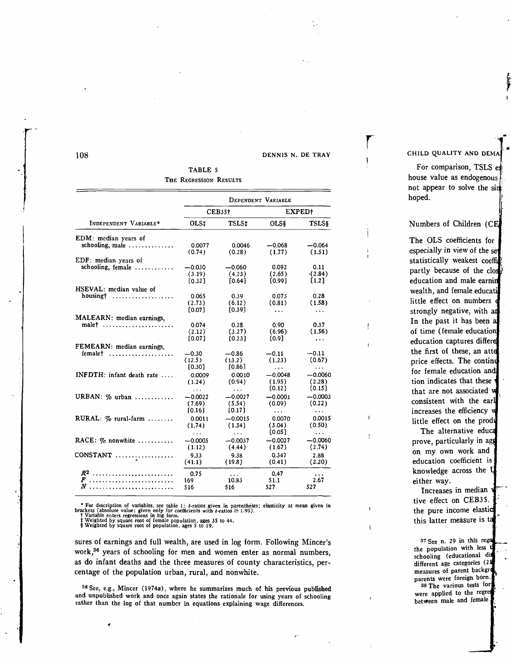$\ddot{\phantom{a}}$ 

|  | IABLL 3 |                        |               |
|--|---------|------------------------|---------------|
|  |         | THE REGRESSION RESULTS |               |
|  |         |                        | $\bf Der$     |
|  |         |                        | <b>CEB35†</b> |
|  |         |                        |               |

|                                               | DEPENDENT VARIABLE   |                  |                    |                    |  |  |
|-----------------------------------------------|----------------------|------------------|--------------------|--------------------|--|--|
|                                               |                      | <b>CEB35+</b>    | EXPED <sup>+</sup> |                    |  |  |
| INDEPENDENT VABIABLE*                         | OLS <sub>1</sub>     | <b>TSLSt</b>     | <b>OLSS</b>        | <b>TSLSS</b>       |  |  |
| EDM: median vears of                          |                      |                  |                    |                    |  |  |
| schooling, male $\ldots$ , , ,                | 0.0077<br>(0.74)     | 0.0046<br>(0.28) | $-0.068$<br>(1.77) | $-0.064$<br>(1.51) |  |  |
| EDF: median years of                          |                      |                  |                    |                    |  |  |
| schooling, female $\dots\dots\dots$           | $-0.030$             | $-0.060$         | 0.092              | 0.11               |  |  |
|                                               | (3.19)               | (4.23)           | (2.65)             | (2.84)             |  |  |
|                                               | [0.32]               | [0.64]           | [0.99]             | 1.21               |  |  |
| HSEVAL: median value of                       |                      |                  |                    |                    |  |  |
| housing $\uparrow$                            | 0.065                | 0.39             | 0.073              | 0.28               |  |  |
|                                               | (2.73)               | (6.12)           | (0.81)             | (1.58)             |  |  |
|                                               | [0.07]               | [0.39]           | $\cdots$           | $\cdots$           |  |  |
| MALEARN: median earnings,                     |                      |                  |                    |                    |  |  |
| malet                                         | 0.074                | 0.28             | 0.90               | 0.37               |  |  |
|                                               | (2.12)               | (3.27)           | (6.96)             | (1.56)             |  |  |
|                                               | [0.07]               | [0.23]           | [0.9]              | $\cdots$           |  |  |
| FEMEARN: median earnings.                     |                      |                  |                    |                    |  |  |
| femalet $\dots\dots\dots\dots\dots\dots\dots$ | $-0.30$              | $-0.86$          | $-0.11$            | $-0.11$            |  |  |
|                                               | (12.5)               | (13.2)           | (1.23)             | (0.67)             |  |  |
|                                               | [0.30]               | [0.86]           | $\cdots$           | $\cdots$           |  |  |
| INFDTH: infant death rate                     | 0.0009               | 0.0010           | $-0.0048$          | $-0.0060$          |  |  |
|                                               | (1.24)               | (0.94)           | (1.95)             | (2.28)             |  |  |
|                                               | $\sim$ $\sim$ $\sim$ | $\ddotsc$        | [0.12]             | [0.15]             |  |  |
| URBAN: $\%$ urban                             | $-0.0022$            | $-0.0027$        | $-0.0001$          | $-0.0003$          |  |  |
|                                               | (7.69)               | (5.54)           | (0.09)             | (0.22)             |  |  |
|                                               | [0.16]               | [0.17]           | $\ddotsc$          | $\ddotsc$          |  |  |
| $RURAL: % rural-farm  $                       | 0.0011               | $-0.0015$        | 0.0070             | 0.0015             |  |  |
|                                               | (1.74)               | (1.34)           | (3.04)             | (0.50)             |  |  |
|                                               |                      |                  | [0.05]             |                    |  |  |
|                                               | $\cdots$             | $\cdots$         |                    | $\cdots$           |  |  |
| RACE: % nonwhite                              | $-0.0005$            | $-0.0037$        | $-0.0027$          | $-0.0060$          |  |  |
|                                               | (1.12)               | (4.44)           | (1.67)             | (2.74)             |  |  |
| $CONSTANT$                                    | 9.33                 | 9.38             | 0.347              | 2.88               |  |  |
|                                               | (41.1)               | (19.8)           | (0.41)             | (2.20)             |  |  |
| R2                                            | 0.75                 | $\cdots$         | 0.47               | $\cdots$           |  |  |
| $\bm{F}$                                      | 169                  | 10.83            | 51.1               | 2.67               |  |  |
|                                               |                      |                  |                    |                    |  |  |

 $T_{\rm{max}}$ 

\* For description of variables, see table 1: *t*-ratios given in parentheses; elasticity at mean given in brackets (absolute value; given only for coefficients with *t*-ratios  $\geq$  1.95).<br>
† Variable enters regressions i

V

sures of earnings and full wealth, are used in log form. Following Mincer's work,<sup>36</sup> years of schooling for men and women enter as normal numbers, as do infant deaths and the three measures of county characteristics, percentage of the population urban, rural, and nonwhite.

36See, e.g., Mincer (1974a), where he summarizes much of his previous published and unpublished work and once again states the rationale for using years of schooling rather than the log of that number in equations explaining wage differences.

 $=$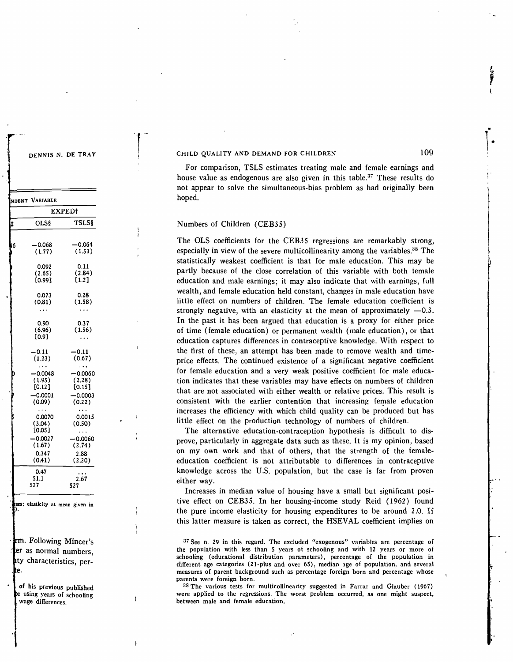For comparison, TSLS estimates treating male and female earnings and house value as endogenous are also given in this table.<sup>37</sup> These results do not appear to solve the simultaneous-bias problem as had originally been hoped.

## Numbers of Children (CEB3S)

The OLS coefficients for the CEB35 regressions are remarkably strong, especially in view of the severe multicollinearity among the variables.<sup>38</sup> The statistically weakest coefficient is that for male education. This may be partly because of the close correlation of this variable with both female education and male earnings; it may also indicate that with earnings, full wealth, and female education held constant, changes in male education have little effect on numbers of children. The female education coefficient is strongly negative, with an elasticity at the mean of approximately  $-0.3$ . In the past it has been argued that education is a proxy for either price of time (female education) or permanent wealth (male education), or that education captures differences in contraceptive knowledge. With respect to the first of these, an attempt has been made to remove wealth and timeprice effects. The continued existence of a significant negative coefficient for female education and a very weak positive coefficient for male education indicates that these variables may have effects on numbers of children that are not associated with either wealth or relative prices. This result is consistent with the earlier contention that increasing female education increases the efficiency with which child quality can be produced but has little effect on the production technology of numbers of children.

The alternative education-contraception hypothesis is difficult to disprove, particularly in aggregate data such as these. It is my opinion, based on my own work and that of others, that the strength of the femaleeducation coefficient is not attributable to differences in contraceptive knowledge across the U.S. population, but the case is far from proven either way.

Increases in median value of housing have a small but significant positive effect on CEB35. In her housing-income study Reid (1962) found the pure income elasticity for housing expenditures to be around 2.0. If this latter measure is taken as correct, the HSEVAL coefficient implies on

See n. 29 in this regard. The excluded "exogenous" variables are percentage of the population with less than 5 years of schooling and with <sup>12</sup> years or more of schooling (educational distribution parameters), percentage of the population in different age categories (21-plus and over 65), median age of population, and several measures of parent background such as percentage foreign born and percentage whose parents were foreign born.

38 The various tests for multicollinearity suggested in Farrar and Glauber (1967) were applied to the regressions. The worst problem occurred, as one might suspect, between male and female education.

 $\alpha^{\star}$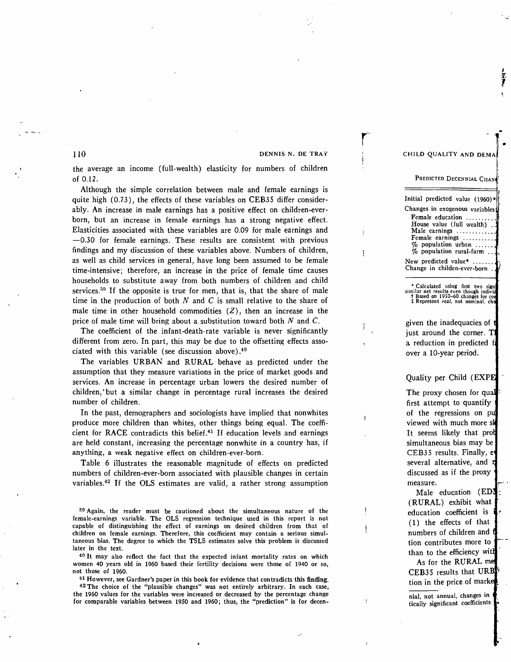$\ddot{\phantom{0}}$ 

the average an income (full-wealth) elasticity for numbers of children of 0.12.

Although the simple correlation between male and female earnings is quite high (0.73), the effects of these variables on CEB3S differ considerably. An increase in male earnings has a positive effect on children-everborn, but an increase in female earnings has a strong negative effect. Elasticities associated with these variables are 0.09 for male earnings and —0.30 for female earnings. These results are consistent with previous findings and my discussion of these variables above. Numbers of children, as well as child services in general, have long been assumed to be female time-intensive; therefore, an increase in the price of female time causes households to substitute away from both numbers of children and child services.<sup>39</sup> If the opposite is true for men, that is, that the share of male time in the production of both  $N$  and  $C$  is small relative to the share of male time in other household commodities  $(Z)$ , then an increase in the price of male time will bring about a substitution toward both  $N$  and  $C$ .

The coefficient of the infant-death-rate variable is never significantly different from zero. In part, this may be due to the offsetting effects associated with this variable (see discussion above).40

The variables URBAN and RURAL behave as predicted under the assumption that they measure variations in the price of market goods and services. An increase in percentage urban lowers the desired number of children,'but a similar change in percentage rural increases the desired number of children.

In the past, demographers and sociologists have implied that nonwhites produce more children than whites, other things being equal. The coefficient for RACE contradicts this belief.<sup>41</sup> If education levels and earnings are held constant, increasing the percentage nonwhite in a country has, if anything, a weak negative effect on children-ever-born.

Table 6 illustrates the reasonable magnitude of effects on predicted numbers of children-ever-born associated with plausible changes in certain variables.42 If the OLS estimates are valid, a rather strong assumption

Again, the reader must be cautioned about the simultaneous nature of the female-earnings variable. The OLS regression technique used in this report is not capable of distinguishing the effect of earnings on desired children from that of children on female earnings. Therefore, this coefficient may contain a serious simultaneous bias. The degree to which the TSLS estimates solve this problem is discussed later in the text.

40 It may also reflect the fact that the expected infant mortality rates on which women 40 years old in 1960 based their fertility decisions were those of 1940 or so, not those of 1960.

<sup>41</sup> However, see Gardner's paper in this book for evidence that contradicts this finding.

42 The choice of the "plausible changes" was not entirely arbitrary. In each case, the 1960 values for the variables were increased or decreased by the percentage change for comparable variables between 1950 and 1960; thus, the "prediction" is for decen-

 $\sim$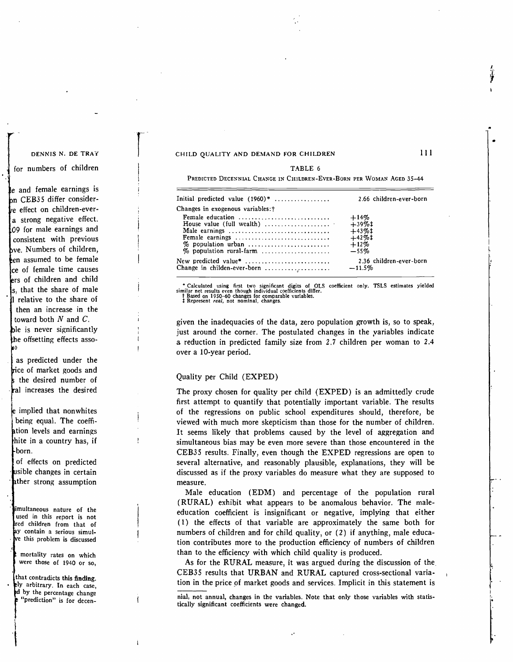| Initial predicted value $(1960)$ *                                   | 2.66 children-ever-born                                         |
|----------------------------------------------------------------------|-----------------------------------------------------------------|
| Changes in exogenous variables: †                                    |                                                                 |
| Female education<br>$\%$ population rural-farm                       | $+14\%$<br>$+39\%1$<br>$+43\%$ t<br>$+42\%$<br>$+12%$<br>$-55%$ |
| New predicted value* $\dots\dots\dots\dots\dots\dots\dots\dots\dots$ | 2.36 children-ever-born<br>$-11.5\%$                            |

| TABLE 6 |  |
|---------|--|
|         |  |

PREDICTED DECENNIAL CHANGE IN CHILDREN-EVER-BORN PER WOMAN ACED 35-44

\* Calculated using first two significant digits of OLS coefficient only. TSLS estimates yielded<br>nilar net results even though individual coefficients differ.<br>† Based on 1950–60 changes for comparable variables.<br>‡ Represent

given the inadequacies of the data, zero population growth is, so to speak, just around the corner. The postulated changes in the yariables indicate a reduction in predicted family size from 2.7 children per woman to 2.4 over a 10-year period.

## Quality per Child (EXPED)

The proxy chosen for quality per child (EXPED) is an admittedly crude first attempt to quantify that potentially important variable. The results of the regressions on public school expenditures should, therefore, be viewed with much more skepticism than those for the number of children. It seems likely that problems caused by the level of aggregation and simultaneous bias may be even more severe than those encountered in the CEB3S results. Finally, even though the EXPED regressions are open to several alternative, and reasonably plausible, explanations, they will be discussed as if the proxy variables do measure what they are supposed to measure.

Male education (EDM) and percentage of the population rural (RURAL) exhibit what appears to be anomalous behavior. The maleeducation coefficient is insignificant or negative, implying that either (1) the effects of that variable are approximately the same both for numbers of children and for child quality, or (2) if anything, male education contributes more to the production efficiency of numbers of children than to the efficiency with which child quality is produced.

As for the RURAL measure, it was argued during the discussion of the. CEB3S results that URBAN and RURAL captured cross-sectional variation in the price of market goods and services. Implicit in this statement is

 $\cdot$ 

nial, not annual, changes in the variables. Note that only those variables with statistically significant coefficients were changed.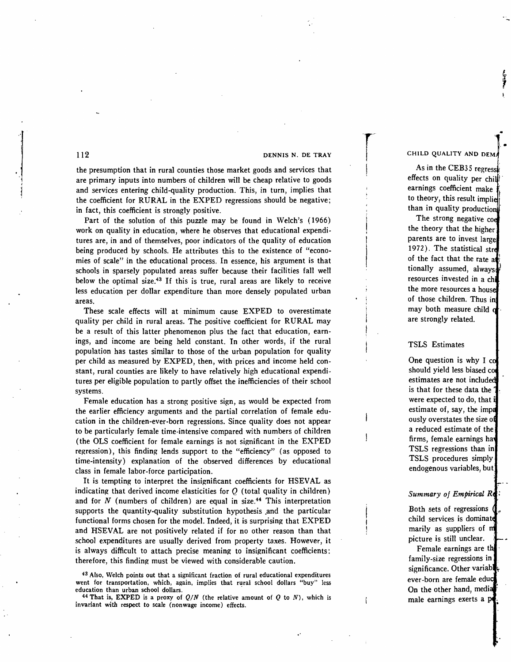the presumption that in rural counties those market goods and services that are primary inputs into numbers of children will be cheap relative to goods and services entering child-quality production. This, in turn, implies that the coefficient for RURAL in the EXPED regressions should be negative; in fact, this coefficient is strongly positive.

Part of the solution of this puzzle may be found in Welch's (1966) work on quality in education, where he observes that educational expenditures are, in and of themselves, poor indicators of the quality of education being produced by schools. He attributes this to the existence of "economies of scale" in the educational process. In essence, his argument is that schools in sparsely populated areas suffer because their facilities fall well below the optimal size.<sup>43</sup> If this is true, rural areas are likely to receive less education per dollar expenditure than more densely populated urban areas.

These scale effects will at minimum cause EXPED to overestimate quality per child in rural areas. The positive coefficient for RURAL may be a result of this latter phenomenon plus the fact that education, earnings, and income are being held constant. In other words, if the rural population has tastes similar to those of the urban population for quality per child as measured by EXPED, then, with prices and income held constant, rural counties are likely to have relatively high educational expenditures per eligible population to partly offset the inefficiencies of their school systems.

Female education has a strong positive sign, as would be expected from the earlier efficiency arguments and the partial correlation of female education in the children-ever-born regressions. Since quality does not appear to be particularly female time-intensive compared with numbers of children (the OLS coefficient for female earnings is not significant in the EXPED regression), this finding lends support to the "efficiency" (as opposed to time-intensity) explanation of the observed differences by educational class in female labor-force participation.

It is tempting to interpret the insignificant coefficients for HSEVAL as indicating that derived income elasticities for  $Q$  (total quality in children) and for  $N$  (numbers of children) are equal in size.<sup>44</sup> This interpretation supports the quantity-quality substitution hypothesis and the particular functional forms chosen for the model. Indeed, it is surprising that EXPED and HSEVAL are not positively related if for no other reason than that school expenditures are usually derived from property taxes. However, it is always difficult to attach precise meaning to insignificant coefficients: therefore, this finding must be viewed with considerable caution.

<sup>43</sup> Also, Welch points out that a significant fraction of rural educational expenditures went for transportation, which, again, implies that rural school dollars "buy" less education than urban school dollars.

<sup>44</sup> That is, EXPED is a proxy of  $Q/N$  (the relative amount of Q to N), which is invariant with respect to scale (nonwage income) effects.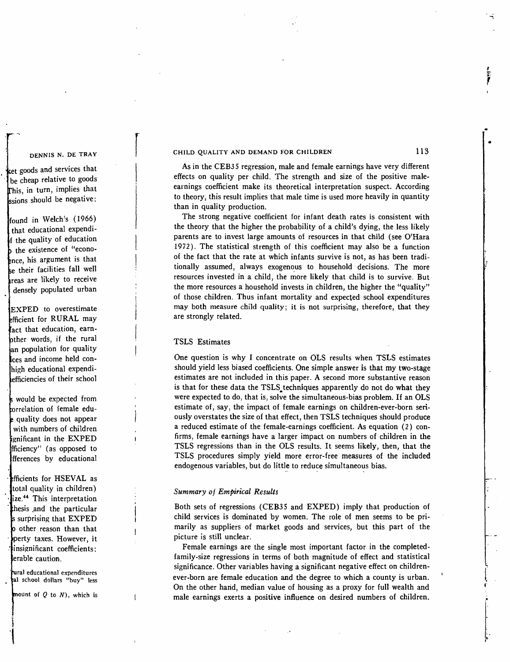As in the CEB35 regression, male and female earnings have very different effects on quality per child. The strength and size of the positive maleearnings coefficient make its theoretical interpretation suspect. According to theory, this result implies that male time is used more heavily in quantity than in quality production.

The strong negative coefficient for infant death rates is consistent with the theory that the higher the probability of a child's dying, the less likely parents are to invest large amounts of resources in that child (see O'Hara 1972). The statistical strength of this coefficient may also be a function of the fact that the rate at which infants survive is not, as has been traditionally assumed, always exogenous to household decisions. The more resources invested in a child, the more likely that child is to survive. But the more resources a household invests in children, the higher the "quality" of those children. Thus infant mortality and expected school expenditures may both measure child quality; it is not surprising, therefore, that they are strongly related.

## TSLS Estimates

CHILD QUALITY AND DEMANND FOR CHILDREN<br>
As in the CEB35 segrecono, male and fermine caroings have very different<br>
effects on quality per child. The stength and ase of the positive male<br>
earning scofilent male tis theoreti One question is why I concentrate on OLS results when TSLS estimates should yield less biased coefficients. One simple answer is that my two-stage estimates are not included in this paper. A second more substantive reason is that for these data the TSLS techniques apparently do not do what they were expected to do, that is, solve the simultaneous-bias problem. If an OLS estimate of, say, the impact of female earnings on children-ever-born seriously overstates the size of that effect, then TSLS techniques should produce a reduced estimate of the female-earnings coefficient. As equation (2) confirms, female earnings have a larger impact on numbers of children in the TSLS regressions than in the OLS results. It seems likely, then, that the TSLS procedures simply yield more error-free measures of the included endogenous variables, but do little to reduce simultaneous bias.

## Summary of Empirical Results

Both sets of regressions (CEB35 and EXPED) imply that production of child services is dominated by women. The role of men seems to be primarily as suppliers of market goods and services, but this part of the picture is still unclear.

Female earnings are the single most important factor in the completedfamily-size regressions in terms of both magnitude of effect and statistical significance. Other variables having a significant negative effect on childrenever-born are female education and the degree to which a county is urban. On the other hand, median value of housing as a proxy for full wealth and male earnings exerts a positive influence on desired numbers of children.

 $\mathcal{A}$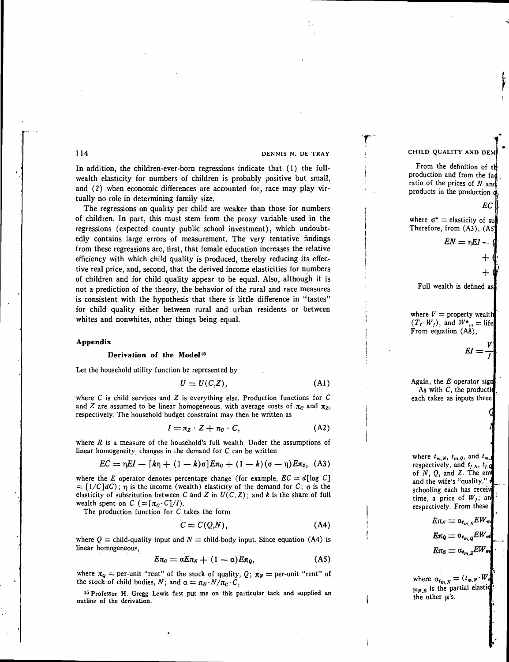114 DENNIS N. DE TRAY

In addition, the children-ever-born regressions indicate that (1) the fullwealth elasticity for numbers of children is probably positive but small, and (2) when economic differences are accounted for, race may play virtually no role in determining family size.

The regressions on quality per child are weaker than those for numbers of children. In part, this must stem from the proxy variable used in the regressions (expected county public school investment), which undoubtedly contains large errors of measurement. The very tentative findings from these regressions are, first, that female education increases the relative efficiency with which child quality is produced, thereby reducing its effective real price, and, second, that the derived income elasticities for numbers of children and for child quality appear to be equal. Also, although it is not a prediction of the theory, the behavior of the rural and race measures is consistent with the hypothesis that there is little difference in "tastes" for child quality either between rural and urban residents or between whites and nonwhites, other things being equal.

#### Appendix

## Derivation of the Model<sup>45</sup>

Let the household utility function be represented by

$$
U = U(C,Z), \tag{A1}
$$

where  $C$  is child services and  $Z$  is everything else. Production functions for  $C$ and Z are assumed to be linear homogeneous, with average costs of  $\pi_c$  and  $\pi_z$ , respectively. The household budget constraint may then be written as

$$
I = \pi_Z \cdot Z + \pi_C \cdot C, \tag{A2}
$$

where  $R$  is a measure of the household's full wealth. Under the assumptions of linear homogeneity, changes in the demand for C can be written

$$
EC = \eta EI - [k\eta + (1-k)\sigma]E\pi_c + (1-k)(\sigma - \eta)E\pi_z, (A3)
$$

where the E operator denotes percentage change (for example,  $EC = d[\log C]$ [ $1/C$ ]dC);  $\eta$  is the income (wealth) elasticity of the demand for C;  $\sigma$  is the elasticity of substitution between C and Z in  $U(C, Z)$ ; and k is the share of full wealth spent on  $C := [\pi_C \cdot C]/I$ .  $EC = \eta EI - [k\eta + (1 - k)\sigma] E \pi_c + (1 - k)(\sigma - \sigma)$ <br>ere the *E* operator denotes percentage change (for example, *E*<br>[1/C]dC);  $\eta$  is the income (wealth) elasticity of the demand f<br>sticity of substitution between *C* and *Z* in  $U(C, Z)$ 

$$
C = C(Q,N), \tag{A4}
$$

where  $Q =$  child-quality input and  $N =$  child-body input. Since equation (A4) is linear homogeneous,

$$
E\pi_c = \alpha E\pi_N + (1-\alpha)E\pi_Q, \qquad (A5)
$$

where  $\pi_Q$  = per-unit "rent" of the stock of quality, Q;  $\pi_N$  = per-unit "rent" of the stock of child bodies, N; and  $\alpha = \pi_N \cdot N / \pi_C \cdot C$ .

45 Professor H. Gregg Lewis first put me on this particular tack and supplied an outline of the derivation.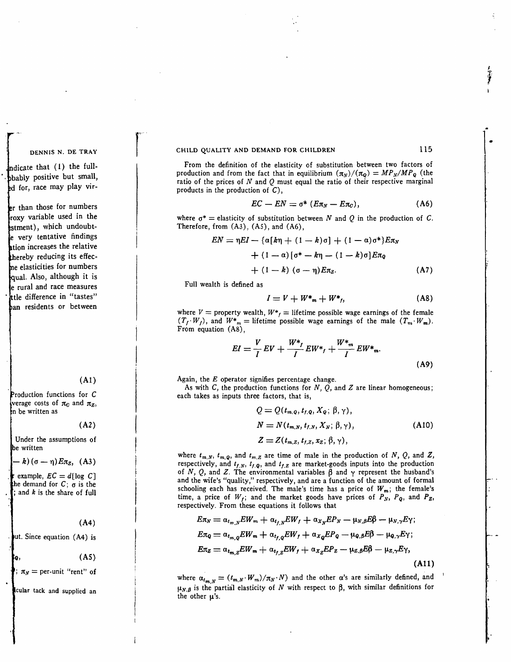From the definition of the elasticity of substitution between two factors of production and from the fact that in equilibrium  $(\pi_N)/(\pi_o) = MP_N/MP_o$  (the ratio of the prices of N and Q must equal the ratio of their respective marginal products in the production of C).

$$
EC-EN=\sigma^*(E\pi_N-E\pi_C),\qquad (A6)
$$

where  $\sigma^*$  = elasticity of substitution between N and Q in the production of C. Therefore, from  $(A3)$ ,  $(A5)$ , and  $(A6)$ ,

$$
EN = \eta EI - {\alpha[k\eta + (1-k)\sigma] + (1-\alpha)\sigma^*} E\pi_N
$$
  
+ (1-\alpha)[\sigma^\* - k\eta - (1-k)\sigma] E\pi\_Q  
+ (1-k)(\sigma - \eta) E\pi\_Z. (A7)

Full wealth is defined as

$$
I = V + W^*_{m} + W^*, \tag{A8}
$$

where  $V =$  property wealth,  $W^*$  = lifetime possible wage earnings of the female  $(T_f \cdot W_f)$ , and  $W^*_{m}$  = lifetime possible wage earnings of the male  $(T_m \cdot W_m)$ . From equation (A8),

$$
EI = \frac{V}{I} EV + \frac{W^*_{I}}{I} EW^*_{I} + \frac{W^*_{m}}{I} EW^*_{m}.
$$
\n(A9)

Again, the  $E$  operator signifies percentage change.

As with C, the production functions for N, Q, and Z are linear homogeneous; each takes as inputs three factors, that is,

$$
Q = Q(t_{m,Q}, t_{f,Q}, X_Q; \beta, \gamma),
$$
  
\n
$$
N = N(t_{m,N}, t_{f,N}, X_N; \beta, \gamma),
$$
  
\n
$$
Z = Z(t_{m,Z}, t_{f,Z}, x_Z; \beta, \gamma),
$$
\n(A10)

where  $t_{m,N}$ ,  $t_{m,Q}$ , and  $t_{m,Z}$  are time of male in the production of N, Q, and Z, respectively, and  $t_{f,N}$ ,  $t_{f,Q}$ , and  $t_{f,Z}$  are market-goods inputs into the production of N, Q, and Z. The environmental variables  $\beta$  and  $\gamma$  represent the husband's and the wife's "quality," respectively, and are a function of the amount of formal schooling each has received. The male's time has a price of  $W_m$ ; the female's time, a price of  $W_f$ ; and the market goods have prices of  $P_N$ ,  $P_o$ , and  $P_Z$ , respectively. From these equations it follows that of N, Q, and Z. The environmental variables  $\beta$  and  $\gamma$  represent the husband's<br>and the wife's "quality," respectively, and are a function of the amount of formal<br>schooling each has received. The male's time has a price

$$
E\pi_N = \alpha_{t_{m,N}} EW_m + \alpha_{t_N} EW_f + \alpha_{x_N} EP_N - \mu_{N,\beta} E\beta - \mu_{N,\gamma} E\gamma;
$$
  
\n
$$
E\pi_Q = \alpha_{t_{m,Q}} EW_m + \alpha_{t_Q} EW_f + \alpha_{X_Q} EP_Q - \mu_{Q,\beta} E\beta - \mu_{Q,\gamma} E\gamma;
$$
  
\n
$$
E\pi_Z = \alpha_{t_{m,Z}} EW_m + \alpha_{t_{f,Z}} EW_f + \alpha_{X_Z} EP_Z - \mu_{Z,\beta} E\beta - \mu_{Z,\gamma} E\gamma,
$$
\n(A11)

where  $\alpha_{t_{m,N}} = (t_{m,N} \cdot W_m)/\pi_N \cdot N$  and the other  $\alpha$ 's are similarly defined, and  $\mu_{N,\beta}$  is the partial elasticity of N with respect to  $\beta$ , with similar definitions for the other  $\mu$ 's.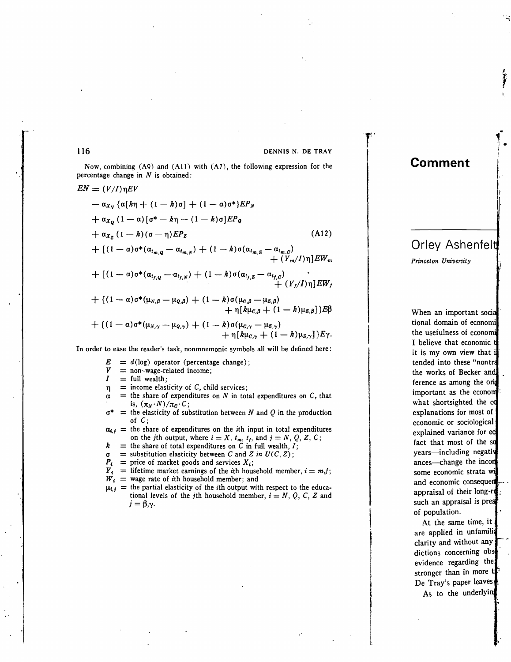$\ddot{\phantom{0}}$ 

Now, combining (A9) and (A11) with (A7), the following expression for the percentage change in  $N$  is obtained:

Now, combining (A9) and (A11) with (A7), the following expression for the  
\npercentage change in N is obtained:  
\n
$$
EN = (V/I)\eta EV
$$
\n
$$
-\alpha_{X_N} \{a[k\eta + (1-k)\sigma] + (1-\alpha)\sigma^* \}EP_N
$$
\n
$$
+\alpha_{X_Q} (1-\alpha)[\sigma^* - k\eta - (1-k)\sigma]EP_Q
$$
\n
$$
+\alpha_{X_Z} (1-k)(\sigma - \eta)EP_Z
$$
\n
$$
+\left[(1-\alpha)\sigma^*( \alpha_{t_{m,Q}} - \alpha_{t_{m,N}} ) + (1-k)\sigma(\alpha_{t_{m,Z}} - \alpha_{t_{m,C}} ) + (Y_m/I)\eta\}EW_m
$$
\n
$$
+\left[(1-\alpha)\sigma^*( \alpha_{t_{f,Q}} - \alpha_{t_{f,N}} ) + (1-k)\sigma(\alpha_{t_{f,Z}} - \alpha_{t_{f,C}} ) + (Y_m/I)\eta\right]EW_f
$$
\n
$$
+\left\{(1-\alpha)\sigma^*( \mu_{X,\beta} - \mu_{Q,\beta}) + (1-k)\sigma(\mu_{G,\beta} - \mu_{Z,\beta}) + \eta[k\mu_{G,\beta} + (1-k)\mu_{Z,\beta}]\right\}E_{\beta}
$$
\n
$$
+\left\{(1-\alpha)\sigma^*( \mu_{X,\gamma} - \mu_{Q,\gamma}) + (1-k)\sigma(\mu_{G,\gamma} - \mu_{Z,\gamma}) + \eta[k\mu_{G,\gamma} + (1-k)\mu_{Z,\gamma}]\right\}E_{\gamma}.
$$
\nIn order to ease the reader's task, nonmemonic symbols all will be defined here:  
\n
$$
E = d(\log) \text{ operator (percentage change)};
$$

- $E = d(\log)$  operator (percentage change);<br>  $V = \text{non-wave-related income}$ :
- $V = \text{non-wave-related income};$ <br> $I = \text{full wealth};$
- 
- $=$  income elasticity of C, child services; η
- $\alpha$  = the share of expenditures on N in total expenditures on C, that is,  $(\pi_N \cdot N)/\pi_C \cdot C$ ;
- $\sigma^*$  = the elasticity of substitution between N and Q in the production of C;
- $\alpha_{i,j}$  = the share of expenditures on the *i*th input in total expenditures on the jth output, where  $i = X$ ,  $t_m$ ,  $t_f$ , and  $j = N$ ,  $Q$ ,  $Z$ ,  $C$ ;
- $k =$  the share of total expenditures on C in full wealth, I;
- $\sigma$  = substitution elasticity between C and Z in  $U(C, Z)$ ;
- $P_i$  = price of market goods and services  $X_i$ ;
- $Y_i$  = lifetime market earnings of the *i*th household member,  $i = m.f$ ;
- $W_i$  = wage rate of ith household member; and
- $\mu_{i,j}$  = the partial elasticity of the *i*th output with respect to the educational levels of the jth household member,  $i = N, Q, C, Z$  and  $i = \beta, \gamma$ .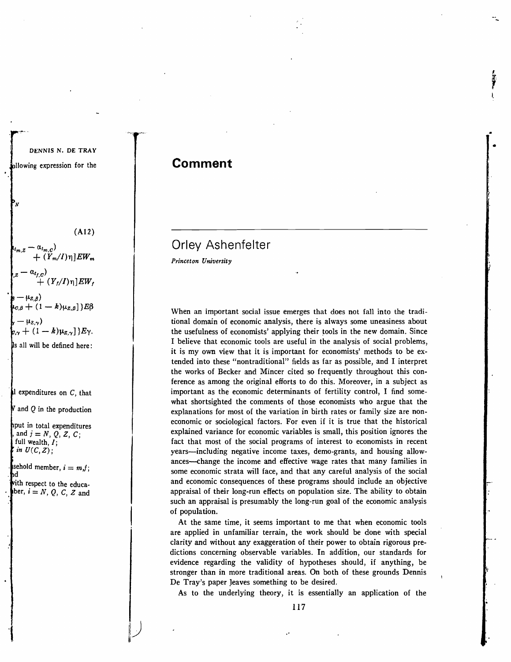# Comment

# Orley Ashenfelter

Princeton University

When an important social issue emerges that does not fall into the traditional domain of economic analysis, there is always some uneasiness about the usefulness of economists' applying their tools in the new domain. Since I believe that economic tools are useful in the analysis of social problems, it is my own view that it is important for economists' methods to be extended into these "nontraditional" fields as far as possible, and I interpret the works of Becker and Mincer cited so frequently throughout this conference as among the original efforts to do this. Moreover, in a subject as important as the economic determinants of fertility control, I find somewhat shortsighted the comments of those economists who argue that the explanations for most of the variation in birth rates or family size are noneconomic or sociological factors. For even if it is true that the historical explained variance for economic variables is small, this position ignores the fact that most of the social programs of interest to economists in recent years—including negative income taxes, demo-grants, and housing allowances—change the income and effective wage rates that many families in some economic strata will face, and that any careful analysis of the social and economic consequences of these programs should include an objective appraisal of their long-run effects on population size. The ability to obtain such an appraisal is presumably the long-run goal of the economic analysis of population.

At the same time, it seems important to me that when economic tools are applied in unfamiliar terrain, the work should be done with special clarity and without any exaggeration of their power to obtain rigorous predictions concerning observable variables. In addition, our standards for evidence regarding the validity of hypotheses should, if anything, be stronger than in more traditional areas. On both of these grounds Dennis De Tray's paper leaves something to be desired.

As to the underlying theory, it is essentially an application of the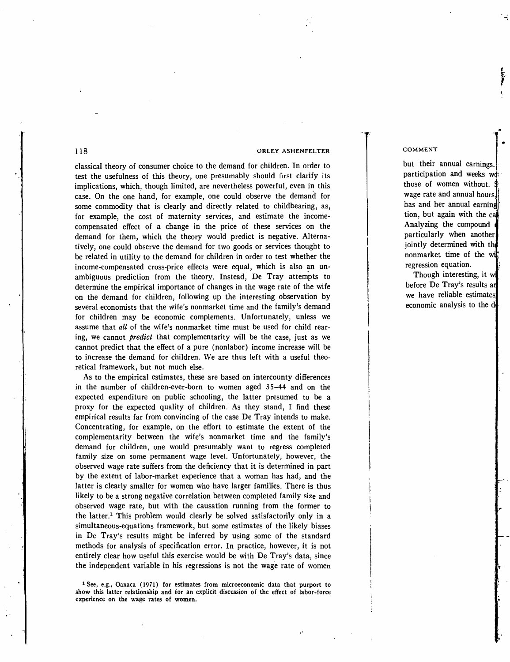classical theory of consumer choice to the demand for children. In order to test the usefulness of this theory, one presumably should first clarify its implications, which, though limited, are nevertheless powerful, even in this case. On the one hand, for example, one could observe the demand for some commodity that is clearly and directly related to childbearing, as, for example, the cost of maternity services, and estimate the incomecompensated effect of a change in the price of these services on the demand for them, which the theory would predict is negative. Alternatively, one could observe the demand for two goods or services thought to be related in utility to the demand for children in order to test whether the income-compensated cross-price effects were equal, which is also an unambiguous prediction from the theory. Instead, De Tray attempts to determine the empirical importance of changes in the wage rate of the wife on the demand for children, following up the interesting observation by several economists that the wife's nonmarket time and the family's demand for children may be economic complements. Unfortunately, unless we assume that all of the wife's nonmarket time must be used for child rearing, we cannot *predict* that complementarity will be the case, just as we cannot predict that the effect of a pure (nonlabor) income increase will be to increase the demand for children. We are thus left with a useful theoretical framework, but not much else.

As to the empirical estimates, these are based on intercounty differences in the number of children-ever-born to women aged 35—44 and on the expected expenditure on public schooling, the latter presumed to be a proxy for the expected quality of children. As they stand, I find these empirical results far from convincing of the case De Tray intends to make. Concentrating, for example, on the effort to estimate the extent of the complementarity between the wife's nonmarket time and the family's demand for children, one would presumably want to regress completed family size on some permanent wage level. Unfortunately, however, the observed wage rate suffers from the deficiency that it is determined in part by the extent of labor-market experience that a woman has had, and the latter is clearly smaller for women who have larger families. There is thus likely to be a strong negative correlation between completed family size and observed wage rate, but with the causation running from the former to the latter.1 This problem would clearly be solved satisfactorily only in a simultaneous-equations framework, but some estimates of the likely biases in De Tray's results might be inferred by using some of the standard methods for analysis of specification error. In practice, however, it is not entirely clear how useful this exercise would be with De Tray's data, since the independent variable in his regressions is not the wage rate of women

<sup>1</sup> See, e.g., Oaxaca (1971) for estimates from microeconomic data that purport to show this latter relationship and for an explicit discussion of the effect of labor-force experience on the wage rates of women.